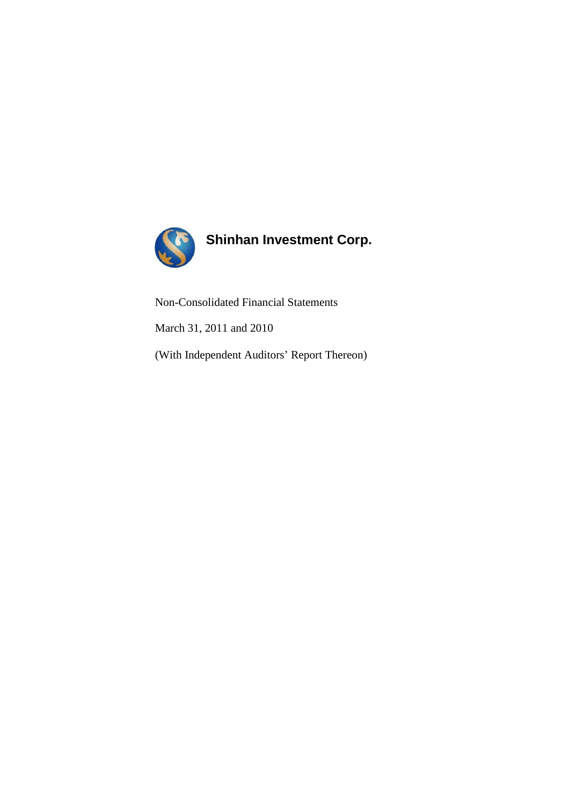

# **Shinhan Investment Corp.**

Non-Consolidated Financial Statements

March 31, 2011 and 2010

(With Independent Auditors' Report Thereon)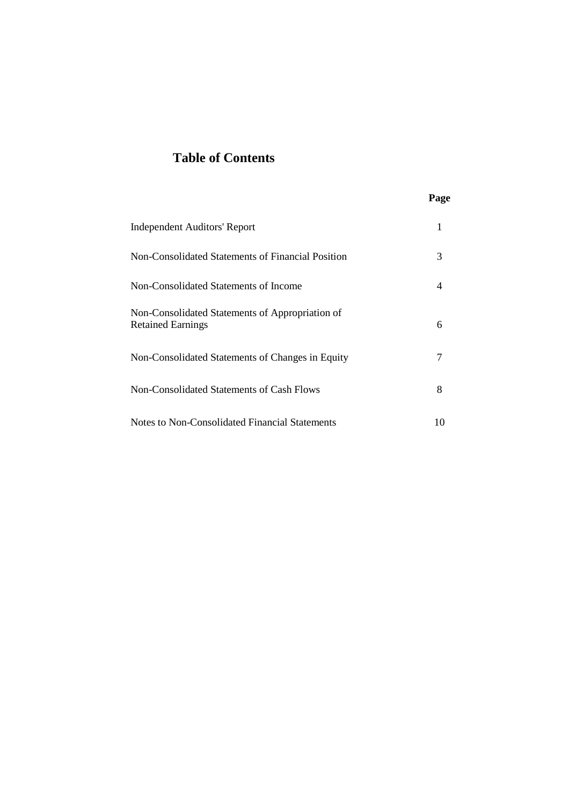# **Table of Contents**

## **Page**

| <b>Independent Auditors' Report</b>                                         |    |
|-----------------------------------------------------------------------------|----|
| Non-Consolidated Statements of Financial Position                           | 3  |
| Non-Consolidated Statements of Income                                       | 4  |
| Non-Consolidated Statements of Appropriation of<br><b>Retained Earnings</b> | 6  |
| Non-Consolidated Statements of Changes in Equity                            |    |
| Non-Consolidated Statements of Cash Flows                                   | 8  |
| Notes to Non-Consolidated Financial Statements                              | 10 |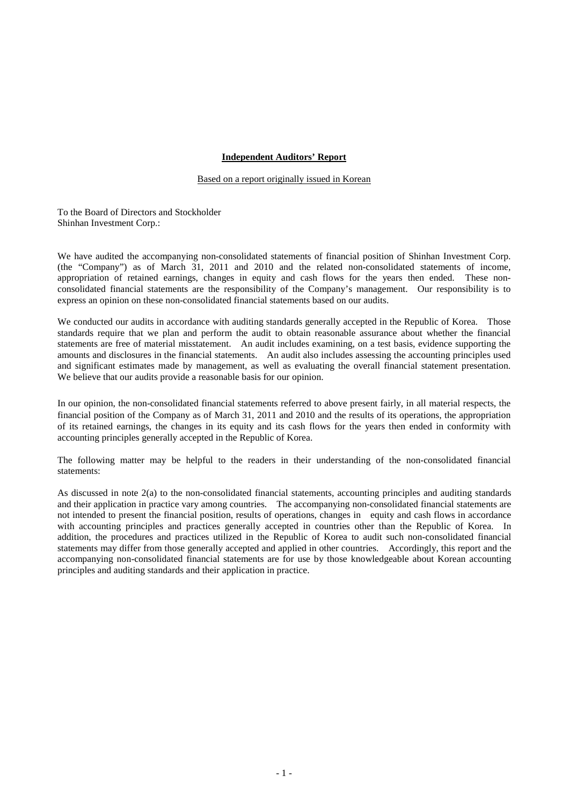## **Independent Auditors' Report**

Based on a report originally issued in Korean

To the Board of Directors and Stockholder Shinhan Investment Corp.:

We have audited the accompanying non-consolidated statements of financial position of Shinhan Investment Corp. (the "Company") as of March 31, 2011 and 2010 and the related non-consolidated statements of income, appropriation of retained earnings, changes in equity and cash flows for the years then ended. These nonconsolidated financial statements are the responsibility of the Company's management. Our responsibility is to express an opinion on these non-consolidated financial statements based on our audits.

We conducted our audits in accordance with auditing standards generally accepted in the Republic of Korea. Those standards require that we plan and perform the audit to obtain reasonable assurance about whether the financial statements are free of material misstatement. An audit includes examining, on a test basis, evidence supporting the amounts and disclosures in the financial statements. An audit also includes assessing the accounting principles used and significant estimates made by management, as well as evaluating the overall financial statement presentation. We believe that our audits provide a reasonable basis for our opinion.

In our opinion, the non-consolidated financial statements referred to above present fairly, in all material respects, the financial position of the Company as of March 31, 2011 and 2010 and the results of its operations, the appropriation of its retained earnings, the changes in its equity and its cash flows for the years then ended in conformity with accounting principles generally accepted in the Republic of Korea.

The following matter may be helpful to the readers in their understanding of the non-consolidated financial statements:

As discussed in note 2(a) to the non-consolidated financial statements, accounting principles and auditing standards and their application in practice vary among countries. The accompanying non-consolidated financial statements are not intended to present the financial position, results of operations, changes in equity and cash flows in accordance with accounting principles and practices generally accepted in countries other than the Republic of Korea. In addition, the procedures and practices utilized in the Republic of Korea to audit such non-consolidated financial statements may differ from those generally accepted and applied in other countries. Accordingly, this report and the accompanying non-consolidated financial statements are for use by those knowledgeable about Korean accounting principles and auditing standards and their application in practice.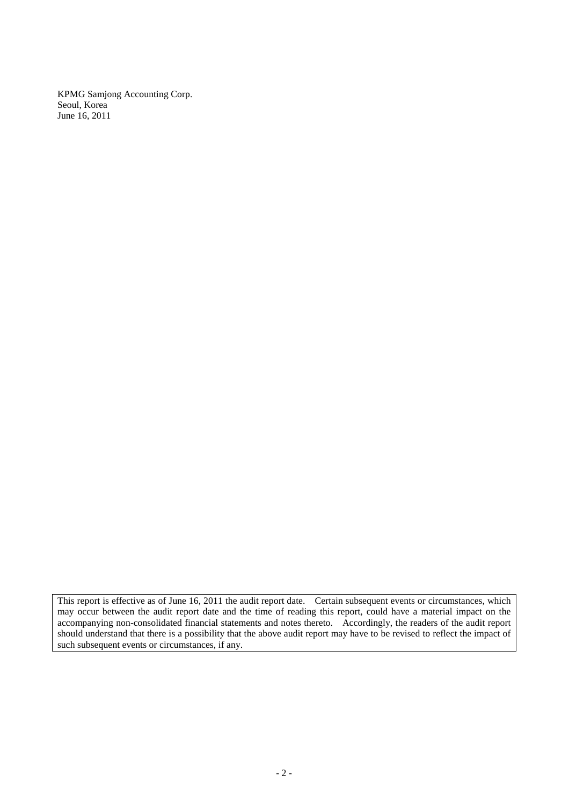KPMG Samjong Accounting Corp. Seoul, Korea June 16, 2011

This report is effective as of June 16, 2011 the audit report date. Certain subsequent events or circumstances, which may occur between the audit report date and the time of reading this report, could have a material impact on the accompanying non-consolidated financial statements and notes thereto. Accordingly, the readers of the audit report should understand that there is a possibility that the above audit report may have to be revised to reflect the impact of such subsequent events or circumstances, if any.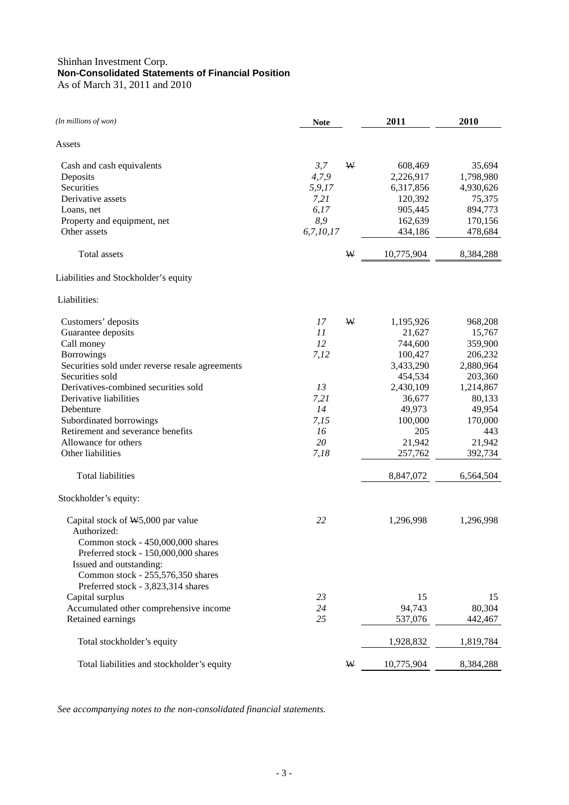## Shinhan Investment Corp. **Non-Consolidated Statements of Financial Position** As of March 31, 2011 and 2010

| (In millions of won)                            | <b>Note</b> |   | 2011       | 2010      |
|-------------------------------------------------|-------------|---|------------|-----------|
| Assets                                          |             |   |            |           |
| Cash and cash equivalents                       | 3,7         | W | 608,469    | 35,694    |
| Deposits                                        | 4,7,9       |   | 2,226,917  | 1,798,980 |
| Securities                                      | 5,9,17      |   | 6,317,856  | 4,930,626 |
| Derivative assets                               | 7,21        |   | 120,392    | 75,375    |
| Loans, net                                      | 6,17        |   | 905,445    | 894,773   |
| Property and equipment, net                     | 8,9         |   | 162,639    | 170,156   |
| Other assets                                    | 6,7,10,17   |   | 434,186    | 478,684   |
| Total assets                                    |             | W | 10,775,904 | 8,384,288 |
| Liabilities and Stockholder's equity            |             |   |            |           |
| Liabilities:                                    |             |   |            |           |
| Customers' deposits                             | 17          | W | 1,195,926  | 968,208   |
| Guarantee deposits                              | 11          |   | 21,627     | 15,767    |
| Call money                                      | 12          |   | 744,600    | 359,900   |
| <b>Borrowings</b>                               | 7,12        |   | 100,427    | 206,232   |
| Securities sold under reverse resale agreements |             |   | 3,433,290  | 2,880,964 |
| Securities sold                                 |             |   | 454,534    | 203,360   |
| Derivatives-combined securities sold            | 13          |   | 2,430,109  | 1,214,867 |
| Derivative liabilities                          | 7,21        |   | 36,677     | 80,133    |
| Debenture                                       | 14          |   | 49,973     | 49,954    |
| Subordinated borrowings                         | 7,15        |   | 100,000    | 170,000   |
| Retirement and severance benefits               | 16          |   | 205        | 443       |
| Allowance for others                            | 20          |   | 21,942     | 21,942    |
| Other liabilities                               | 7,18        |   | 257,762    | 392,734   |
| <b>Total liabilities</b>                        |             |   | 8,847,072  | 6,564,504 |
| Stockholder's equity:                           |             |   |            |           |
| Capital stock of $W5,000$ par value             | 22          |   | 1,296,998  | 1,296,998 |
| Authorized:                                     |             |   |            |           |
| Common stock - 450,000,000 shares               |             |   |            |           |
| Preferred stock - 150,000,000 shares            |             |   |            |           |
| Issued and outstanding:                         |             |   |            |           |
| Common stock - 255,576,350 shares               |             |   |            |           |
| Preferred stock - 3,823,314 shares              |             |   |            |           |
| Capital surplus                                 | 23          |   | 15         | 15        |
| Accumulated other comprehensive income          | 24          |   | 94,743     | 80,304    |
| Retained earnings                               | 25          |   | 537,076    | 442,467   |
| Total stockholder's equity                      |             |   | 1,928,832  | 1,819,784 |
| Total liabilities and stockholder's equity      |             | W | 10,775,904 | 8,384,288 |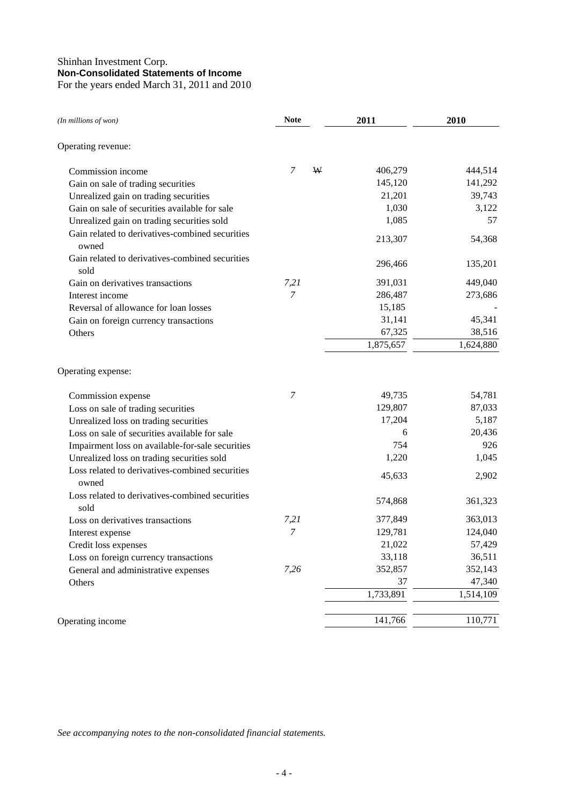## Shinhan Investment Corp. **Non-Consolidated Statements of Income** For the years ended March 31, 2011 and 2010

| (In millions of won)                                     | <b>Note</b>      |   | 2011      | 2010      |
|----------------------------------------------------------|------------------|---|-----------|-----------|
| Operating revenue:                                       |                  |   |           |           |
| Commission income                                        | 7                | W | 406,279   | 444,514   |
| Gain on sale of trading securities                       |                  |   | 145,120   | 141,292   |
| Unrealized gain on trading securities                    |                  |   | 21,201    | 39,743    |
| Gain on sale of securities available for sale            |                  |   | 1,030     | 3,122     |
| Unrealized gain on trading securities sold               |                  |   | 1,085     | 57        |
| Gain related to derivatives-combined securities<br>owned |                  |   | 213,307   | 54,368    |
| Gain related to derivatives-combined securities<br>sold  |                  |   | 296,466   | 135,201   |
| Gain on derivatives transactions                         | 7,21             |   | 391,031   | 449,040   |
| Interest income                                          | $\overline{7}$   |   | 286,487   | 273,686   |
| Reversal of allowance for loan losses                    |                  |   | 15,185    |           |
| Gain on foreign currency transactions                    |                  |   | 31,141    | 45,341    |
| Others                                                   |                  |   | 67,325    | 38,516    |
|                                                          |                  |   | 1,875,657 | 1,624,880 |
| Operating expense:                                       |                  |   |           |           |
| Commission expense                                       | 7                |   | 49,735    | 54,781    |
| Loss on sale of trading securities                       |                  |   | 129,807   | 87,033    |
| Unrealized loss on trading securities                    |                  |   | 17,204    | 5,187     |
| Loss on sale of securities available for sale            |                  |   | 6         | 20,436    |
| Impairment loss on available-for-sale securities         |                  |   | 754       | 926       |
| Unrealized loss on trading securities sold               |                  |   | 1,220     | 1,045     |
| Loss related to derivatives-combined securities<br>owned |                  |   | 45,633    | 2,902     |
| Loss related to derivatives-combined securities<br>sold  |                  |   | 574,868   | 361,323   |
| Loss on derivatives transactions                         | 7,21             |   | 377,849   | 363,013   |
| Interest expense                                         | $\boldsymbol{7}$ |   | 129,781   | 124,040   |
| Credit loss expenses                                     |                  |   | 21,022    | 57,429    |
| Loss on foreign currency transactions                    |                  |   | 33,118    | 36,511    |
| General and administrative expenses                      | 7,26             |   | 352,857   | 352,143   |
| Others                                                   |                  |   | 37        | 47,340    |
|                                                          |                  |   | 1,733,891 | 1,514,109 |
| Operating income                                         |                  |   | 141,766   | 110,771   |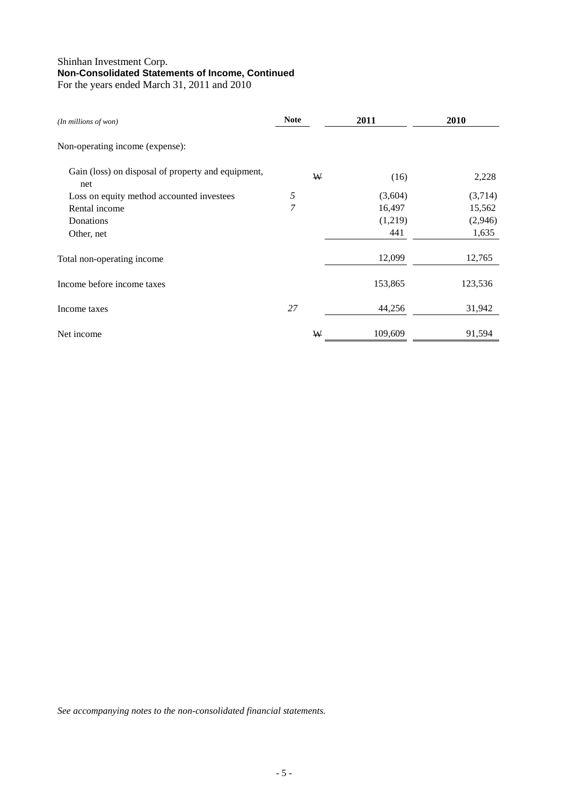## Shinhan Investment Corp. **Non-Consolidated Statements of Income, Continued** For the years ended March 31, 2011 and 2010

| $(In$ millions of won $)$                                 | <b>Note</b> | 2011    | 2010    |
|-----------------------------------------------------------|-------------|---------|---------|
| Non-operating income (expense):                           |             |         |         |
| Gain (loss) on disposal of property and equipment,<br>net | W           | (16)    | 2,228   |
| Loss on equity method accounted investees                 | 5           | (3,604) | (3,714) |
| Rental income                                             | 7           | 16,497  | 15,562  |
| Donations                                                 |             | (1,219) | (2,946) |
| Other, net                                                |             | 441     | 1,635   |
| Total non-operating income                                |             | 12,099  | 12,765  |
| Income before income taxes                                |             | 153,865 | 123,536 |
| Income taxes                                              | 27          | 44,256  | 31,942  |
| Net income                                                | ₩           | 109,609 | 91,594  |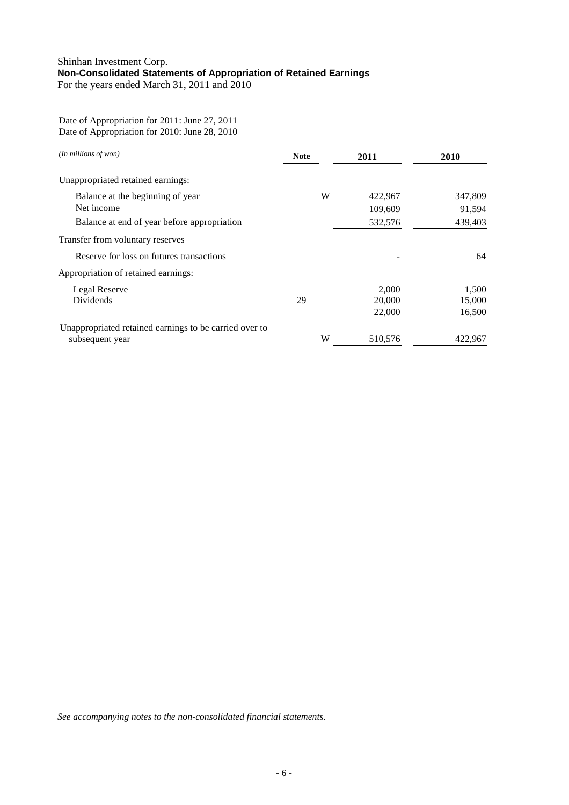## Shinhan Investment Corp. **Non-Consolidated Statements of Appropriation of Retained Earnings**  For the years ended March 31, 2011 and 2010

Date of Appropriation for 2011: June 27, 2011 Date of Appropriation for 2010: June 28, 2010

| (In millions of won)                                   | <b>Note</b> | 2011    | 2010    |
|--------------------------------------------------------|-------------|---------|---------|
| Unappropriated retained earnings:                      |             |         |         |
| Balance at the beginning of year                       | ₩           | 422,967 | 347,809 |
| Net income                                             |             | 109,609 | 91,594  |
| Balance at end of year before appropriation            |             | 532,576 | 439,403 |
| Transfer from voluntary reserves                       |             |         |         |
| Reserve for loss on futures transactions               |             |         | 64      |
| Appropriation of retained earnings:                    |             |         |         |
| Legal Reserve                                          |             | 2,000   | 1,500   |
| Dividends                                              | 29          | 20,000  | 15,000  |
|                                                        |             | 22,000  | 16,500  |
| Unappropriated retained earnings to be carried over to |             |         |         |
| subsequent year                                        | ₩           | 510,576 | 422,967 |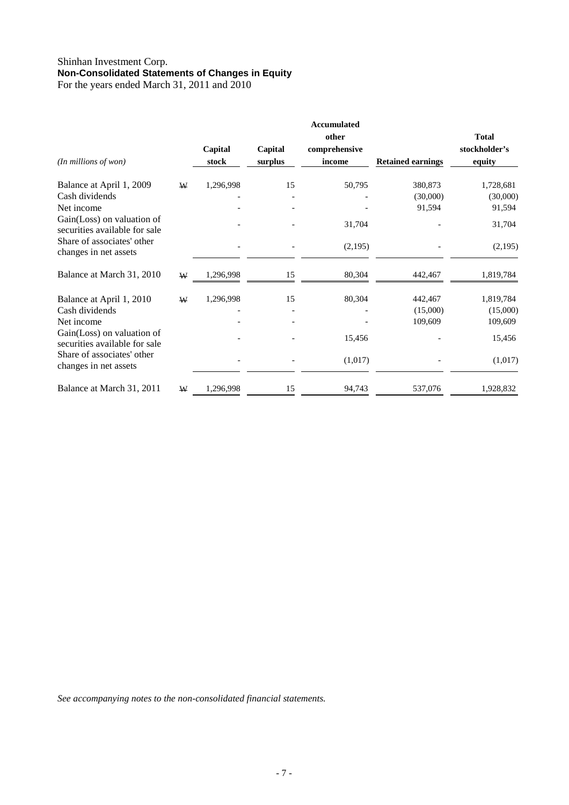## Shinhan Investment Corp. **Non-Consolidated Statements of Changes in Equity** For the years ended March 31, 2011 and 2010

| (In millions of won)                                        |   | Capital<br>stock | Capital<br>surplus | <b>Accumulated</b><br>other<br>comprehensive<br>income | <b>Retained earnings</b> | <b>Total</b><br>stockholder's<br>equity |
|-------------------------------------------------------------|---|------------------|--------------------|--------------------------------------------------------|--------------------------|-----------------------------------------|
| Balance at April 1, 2009                                    | W | 1,296,998        | 15                 | 50,795                                                 | 380,873                  | 1,728,681                               |
| Cash dividends                                              |   |                  |                    |                                                        | (30,000)                 | (30,000)                                |
| Net income                                                  |   |                  |                    |                                                        | 91,594                   | 91,594                                  |
| Gain(Loss) on valuation of<br>securities available for sale |   |                  |                    | 31,704                                                 |                          | 31,704                                  |
| Share of associates' other<br>changes in net assets         |   |                  |                    | (2,195)                                                |                          | (2,195)                                 |
| Balance at March 31, 2010                                   | W | 1,296,998        | 15                 | 80,304                                                 | 442,467                  | 1,819,784                               |
| Balance at April 1, 2010                                    | W | 1,296,998        | 15                 | 80,304                                                 | 442,467                  | 1,819,784                               |
| Cash dividends                                              |   |                  |                    |                                                        | (15,000)                 | (15,000)                                |
| Net income                                                  |   |                  |                    |                                                        | 109,609                  | 109,609                                 |
| Gain(Loss) on valuation of<br>securities available for sale |   |                  |                    | 15,456                                                 |                          | 15,456                                  |
| Share of associates' other<br>changes in net assets         |   |                  |                    | (1,017)                                                |                          | (1,017)                                 |
| Balance at March 31, 2011                                   | W | 1,296,998        | 15                 | 94,743                                                 | 537,076                  | 1,928,832                               |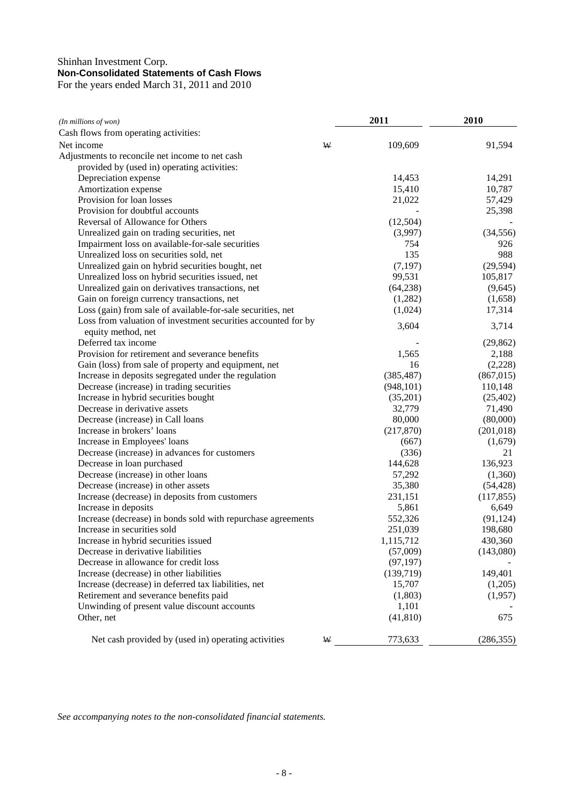## Shinhan Investment Corp. **Non-Consolidated Statements of Cash Flows**  For the years ended March 31, 2011 and 2010

| (In millions of won)                                          |   | 2011       | 2010       |  |
|---------------------------------------------------------------|---|------------|------------|--|
| Cash flows from operating activities:                         |   |            |            |  |
| Net income                                                    | W | 109,609    | 91,594     |  |
| Adjustments to reconcile net income to net cash               |   |            |            |  |
| provided by (used in) operating activities:                   |   |            |            |  |
| Depreciation expense                                          |   | 14,453     | 14,291     |  |
| Amortization expense                                          |   | 15,410     | 10,787     |  |
| Provision for loan losses                                     |   | 21,022     | 57,429     |  |
| Provision for doubtful accounts                               |   |            | 25,398     |  |
| Reversal of Allowance for Others                              |   | (12,504)   |            |  |
| Unrealized gain on trading securities, net                    |   | (3,997)    | (34, 556)  |  |
| Impairment loss on available-for-sale securities              |   | 754        | 926        |  |
| Unrealized loss on securities sold, net                       |   | 135        | 988        |  |
| Unrealized gain on hybrid securities bought, net              |   | (7, 197)   | (29, 594)  |  |
| Unrealized loss on hybrid securities issued, net              |   | 99,531     | 105,817    |  |
| Unrealized gain on derivatives transactions, net              |   | (64,238)   | (9,645)    |  |
| Gain on foreign currency transactions, net                    |   | (1,282)    | (1,658)    |  |
| Loss (gain) from sale of available-for-sale securities, net   |   | (1,024)    | 17,314     |  |
| Loss from valuation of investment securities accounted for by |   |            |            |  |
| equity method, net                                            |   | 3,604      | 3,714      |  |
| Deferred tax income                                           |   |            | (29, 862)  |  |
| Provision for retirement and severance benefits               |   | 1,565      | 2,188      |  |
| Gain (loss) from sale of property and equipment, net          |   | 16         | (2,228)    |  |
| Increase in deposits segregated under the regulation          |   | (385, 487) | (867, 015) |  |
| Decrease (increase) in trading securities                     |   | (948, 101) | 110,148    |  |
| Increase in hybrid securities bought                          |   | (35,201)   | (25, 402)  |  |
| Decrease in derivative assets                                 |   | 32,779     | 71,490     |  |
| Decrease (increase) in Call loans                             |   | 80,000     | (80,000)   |  |
| Increase in brokers' loans                                    |   | (217,870)  | (201, 018) |  |
| Increase in Employees' loans                                  |   | (667)      | (1,679)    |  |
| Decrease (increase) in advances for customers                 |   | (336)      | 21         |  |
| Decrease in loan purchased                                    |   | 144,628    | 136,923    |  |
| Decrease (increase) in other loans                            |   | 57,292     | (1,360)    |  |
| Decrease (increase) in other assets                           |   | 35,380     | (54, 428)  |  |
| Increase (decrease) in deposits from customers                |   | 231,151    | (117, 855) |  |
| Increase in deposits                                          |   | 5,861      | 6,649      |  |
| Increase (decrease) in bonds sold with repurchase agreements  |   | 552,326    | (91, 124)  |  |
| Increase in securities sold                                   |   | 251,039    | 198,680    |  |
| Increase in hybrid securities issued                          |   | 1,115,712  | 430,360    |  |
| Decrease in derivative liabilities                            |   | (57,009)   | (143,080)  |  |
| Decrease in allowance for credit loss                         |   | (97, 197)  |            |  |
| Increase (decrease) in other liabilities                      |   | (139,719)  | 149,401    |  |
| Increase (decrease) in deferred tax liabilities, net          |   | 15,707     | (1,205)    |  |
| Retirement and severance benefits paid                        |   | (1,803)    | (1,957)    |  |
| Unwinding of present value discount accounts                  |   | 1,101      |            |  |
| Other, net                                                    |   | (41, 810)  | 675        |  |
| Net cash provided by (used in) operating activities           | W | 773,633    | (286, 355) |  |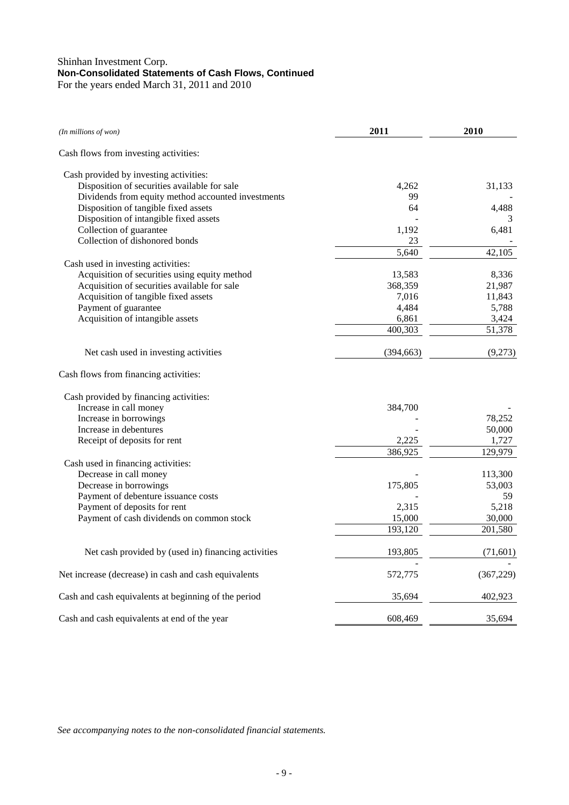## Shinhan Investment Corp. **Non-Consolidated Statements of Cash Flows, Continued**  For the years ended March 31, 2011 and 2010

| (In millions of won)                                 | 2011       | 2010                |
|------------------------------------------------------|------------|---------------------|
| Cash flows from investing activities:                |            |                     |
| Cash provided by investing activities:               |            |                     |
| Disposition of securities available for sale         | 4,262      | 31,133              |
| Dividends from equity method accounted investments   | 99         |                     |
| Disposition of tangible fixed assets                 | 64         | 4,488               |
| Disposition of intangible fixed assets               |            |                     |
| Collection of guarantee                              | 1,192      | 6,481               |
| Collection of dishonored bonds                       | 23         |                     |
|                                                      | 5,640      | $42,10\overline{5}$ |
| Cash used in investing activities:                   |            |                     |
| Acquisition of securities using equity method        | 13,583     | 8,336               |
| Acquisition of securities available for sale         | 368,359    | 21,987              |
| Acquisition of tangible fixed assets                 | 7,016      | 11,843              |
| Payment of guarantee                                 | 4,484      | 5,788               |
| Acquisition of intangible assets                     | 6,861      | 3,424               |
|                                                      | 400,303    | 51,378              |
| Net cash used in investing activities                | (394, 663) | (9,273)             |
| Cash flows from financing activities:                |            |                     |
| Cash provided by financing activities:               |            |                     |
| Increase in call money                               | 384,700    |                     |
| Increase in borrowings                               |            | 78,252              |
| Increase in debentures                               |            | 50,000              |
| Receipt of deposits for rent                         | 2,225      | 1,727               |
|                                                      | 386,925    | 129,979             |
| Cash used in financing activities:                   |            |                     |
| Decrease in call money                               |            | 113,300             |
| Decrease in borrowings                               | 175,805    | 53,003              |
| Payment of debenture issuance costs                  |            | 59                  |
| Payment of deposits for rent                         | 2,315      | 5,218               |
| Payment of cash dividends on common stock            | 15,000     | 30,000              |
|                                                      | 193,120    | 201,580             |
| Net cash provided by (used in) financing activities  | 193,805    | (71, 601)           |
| Net increase (decrease) in cash and cash equivalents | 572,775    | (367, 229)          |
| Cash and cash equivalents at beginning of the period | 35,694     | 402,923             |
| Cash and cash equivalents at end of the year         | 608,469    | 35,694              |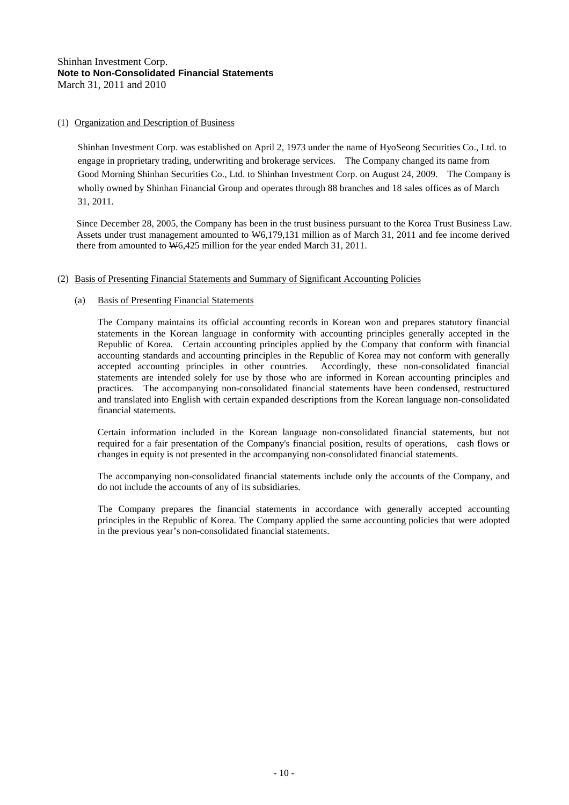## (1) Organization and Description of Business

Shinhan Investment Corp. was established on April 2, 1973 under the name of HyoSeong Securities Co., Ltd. to engage in proprietary trading, underwriting and brokerage services. The Company changed its name from Good Morning Shinhan Securities Co., Ltd. to Shinhan Investment Corp. on August 24, 2009. The Company is wholly owned by Shinhan Financial Group and operates through 88 branches and 18 sales offices as of March 31, 2011.

Since December 28, 2005, the Company has been in the trust business pursuant to the Korea Trust Business Law. Assets under trust management amounted to W6,179,131 million as of March 31, 2011 and fee income derived there from amounted to  $\overline{W}6,425$  million for the year ended March 31, 2011.

#### (2) Basis of Presenting Financial Statements and Summary of Significant Accounting Policies

## (a) Basis of Presenting Financial Statements

The Company maintains its official accounting records in Korean won and prepares statutory financial statements in the Korean language in conformity with accounting principles generally accepted in the Republic of Korea. Certain accounting principles applied by the Company that conform with financial accounting standards and accounting principles in the Republic of Korea may not conform with generally accepted accounting principles in other countries. Accordingly, these non-consolidated financial statements are intended solely for use by those who are informed in Korean accounting principles and practices. The accompanying non-consolidated financial statements have been condensed, restructured and translated into English with certain expanded descriptions from the Korean language non-consolidated financial statements.

Certain information included in the Korean language non-consolidated financial statements, but not required for a fair presentation of the Company's financial position, results of operations, cash flows or changes in equity is not presented in the accompanying non-consolidated financial statements.

The accompanying non-consolidated financial statements include only the accounts of the Company, and do not include the accounts of any of its subsidiaries.

The Company prepares the financial statements in accordance with generally accepted accounting principles in the Republic of Korea. The Company applied the same accounting policies that were adopted in the previous year's non-consolidated financial statements.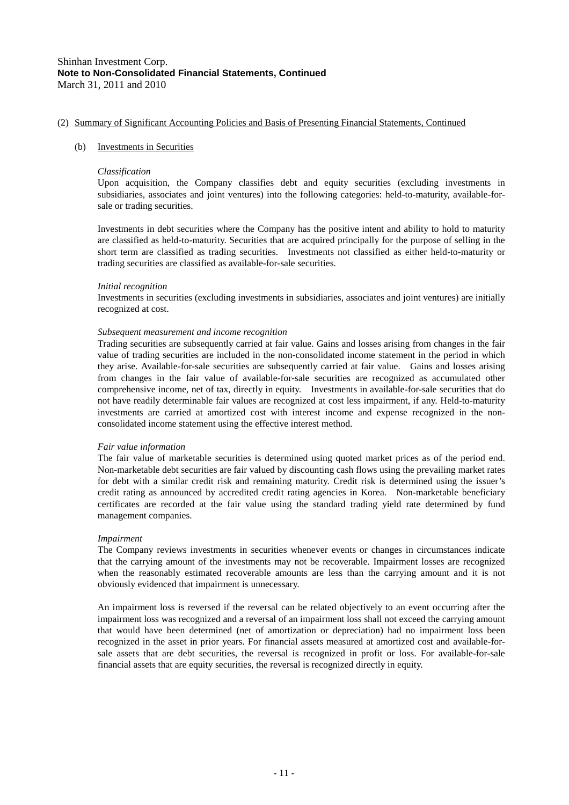#### (b) Investments in Securities

#### *Classification*

Upon acquisition, the Company classifies debt and equity securities (excluding investments in subsidiaries, associates and joint ventures) into the following categories: held-to-maturity, available-forsale or trading securities.

Investments in debt securities where the Company has the positive intent and ability to hold to maturity are classified as held-to-maturity. Securities that are acquired principally for the purpose of selling in the short term are classified as trading securities. Investments not classified as either held-to-maturity or trading securities are classified as available-for-sale securities.

#### *Initial recognition*

Investments in securities (excluding investments in subsidiaries, associates and joint ventures) are initially recognized at cost.

#### *Subsequent measurement and income recognition*

Trading securities are subsequently carried at fair value. Gains and losses arising from changes in the fair value of trading securities are included in the non-consolidated income statement in the period in which they arise. Available-for-sale securities are subsequently carried at fair value. Gains and losses arising from changes in the fair value of available-for-sale securities are recognized as accumulated other comprehensive income, net of tax, directly in equity. Investments in available-for-sale securities that do not have readily determinable fair values are recognized at cost less impairment, if any. Held-to-maturity investments are carried at amortized cost with interest income and expense recognized in the nonconsolidated income statement using the effective interest method.

#### *Fair value information*

The fair value of marketable securities is determined using quoted market prices as of the period end. Non-marketable debt securities are fair valued by discounting cash flows using the prevailing market rates for debt with a similar credit risk and remaining maturity. Credit risk is determined using the issuer's credit rating as announced by accredited credit rating agencies in Korea. Non-marketable beneficiary certificates are recorded at the fair value using the standard trading yield rate determined by fund management companies.

#### *Impairment*

The Company reviews investments in securities whenever events or changes in circumstances indicate that the carrying amount of the investments may not be recoverable. Impairment losses are recognized when the reasonably estimated recoverable amounts are less than the carrying amount and it is not obviously evidenced that impairment is unnecessary.

An impairment loss is reversed if the reversal can be related objectively to an event occurring after the impairment loss was recognized and a reversal of an impairment loss shall not exceed the carrying amount that would have been determined (net of amortization or depreciation) had no impairment loss been recognized in the asset in prior years. For financial assets measured at amortized cost and available-forsale assets that are debt securities, the reversal is recognized in profit or loss. For available-for-sale financial assets that are equity securities, the reversal is recognized directly in equity.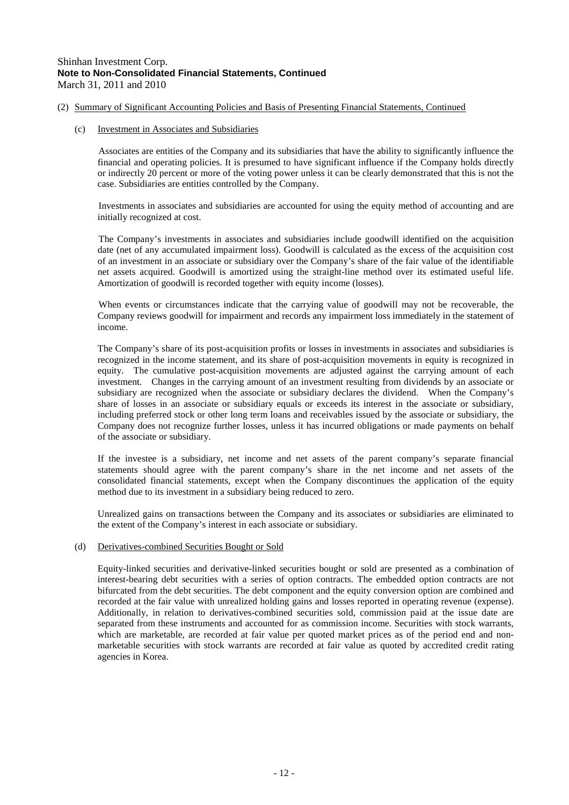#### (c) Investment in Associates and Subsidiaries

Associates are entities of the Company and its subsidiaries that have the ability to significantly influence the financial and operating policies. It is presumed to have significant influence if the Company holds directly or indirectly 20 percent or more of the voting power unless it can be clearly demonstrated that this is not the case. Subsidiaries are entities controlled by the Company.

Investments in associates and subsidiaries are accounted for using the equity method of accounting and are initially recognized at cost.

The Company's investments in associates and subsidiaries include goodwill identified on the acquisition date (net of any accumulated impairment loss). Goodwill is calculated as the excess of the acquisition cost of an investment in an associate or subsidiary over the Company's share of the fair value of the identifiable net assets acquired. Goodwill is amortized using the straight-line method over its estimated useful life. Amortization of goodwill is recorded together with equity income (losses).

When events or circumstances indicate that the carrying value of goodwill may not be recoverable, the Company reviews goodwill for impairment and records any impairment loss immediately in the statement of income.

The Company's share of its post-acquisition profits or losses in investments in associates and subsidiaries is recognized in the income statement, and its share of post-acquisition movements in equity is recognized in equity. The cumulative post-acquisition movements are adjusted against the carrying amount of each investment. Changes in the carrying amount of an investment resulting from dividends by an associate or subsidiary are recognized when the associate or subsidiary declares the dividend. When the Company's share of losses in an associate or subsidiary equals or exceeds its interest in the associate or subsidiary, including preferred stock or other long term loans and receivables issued by the associate or subsidiary, the Company does not recognize further losses, unless it has incurred obligations or made payments on behalf of the associate or subsidiary.

If the investee is a subsidiary, net income and net assets of the parent company's separate financial statements should agree with the parent company's share in the net income and net assets of the consolidated financial statements, except when the Company discontinues the application of the equity method due to its investment in a subsidiary being reduced to zero.

Unrealized gains on transactions between the Company and its associates or subsidiaries are eliminated to the extent of the Company's interest in each associate or subsidiary.

#### (d) Derivatives-combined Securities Bought or Sold

Equity-linked securities and derivative-linked securities bought or sold are presented as a combination of interest-bearing debt securities with a series of option contracts. The embedded option contracts are not bifurcated from the debt securities. The debt component and the equity conversion option are combined and recorded at the fair value with unrealized holding gains and losses reported in operating revenue (expense). Additionally, in relation to derivatives-combined securities sold, commission paid at the issue date are separated from these instruments and accounted for as commission income. Securities with stock warrants, which are marketable, are recorded at fair value per quoted market prices as of the period end and nonmarketable securities with stock warrants are recorded at fair value as quoted by accredited credit rating agencies in Korea.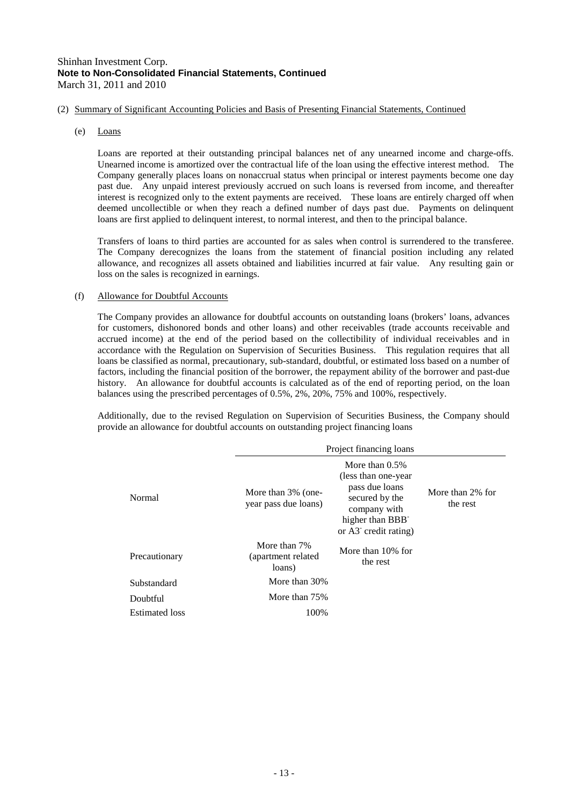(e) Loans

Loans are reported at their outstanding principal balances net of any unearned income and charge-offs. Unearned income is amortized over the contractual life of the loan using the effective interest method. The Company generally places loans on nonaccrual status when principal or interest payments become one day past due. Any unpaid interest previously accrued on such loans is reversed from income, and thereafter interest is recognized only to the extent payments are received. These loans are entirely charged off when deemed uncollectible or when they reach a defined number of days past due. Payments on delinquent loans are first applied to delinquent interest, to normal interest, and then to the principal balance.

Transfers of loans to third parties are accounted for as sales when control is surrendered to the transferee. The Company derecognizes the loans from the statement of financial position including any related allowance, and recognizes all assets obtained and liabilities incurred at fair value. Any resulting gain or loss on the sales is recognized in earnings.

#### (f) Allowance for Doubtful Accounts

The Company provides an allowance for doubtful accounts on outstanding loans (brokers' loans, advances for customers, dishonored bonds and other loans) and other receivables (trade accounts receivable and accrued income) at the end of the period based on the collectibility of individual receivables and in accordance with the Regulation on Supervision of Securities Business. This regulation requires that all loans be classified as normal, precautionary, sub-standard, doubtful, or estimated loss based on a number of factors, including the financial position of the borrower, the repayment ability of the borrower and past-due history. An allowance for doubtful accounts is calculated as of the end of reporting period, on the loan balances using the prescribed percentages of 0.5%, 2%, 20%, 75% and 100%, respectively.

Additionally, due to the revised Regulation on Supervision of Securities Business, the Company should provide an allowance for doubtful accounts on outstanding project financing loans

|                                                      | Project financing loans                       |                                                                                                                                                         |                              |  |  |
|------------------------------------------------------|-----------------------------------------------|---------------------------------------------------------------------------------------------------------------------------------------------------------|------------------------------|--|--|
| More than 3% (one-<br>Normal<br>year pass due loans) |                                               | More than $0.5\%$<br>(less than one-year)<br>pass due loans<br>secured by the<br>company with<br>higher than BBB<br>or $A3$ <sup>-</sup> credit rating) | More than 2% for<br>the rest |  |  |
| Precautionary                                        | More than 7%<br>(apartment related)<br>loans) | More than 10% for<br>the rest                                                                                                                           |                              |  |  |
| Substandard                                          | More than 30%                                 |                                                                                                                                                         |                              |  |  |
| Doubtful                                             | More than 75%                                 |                                                                                                                                                         |                              |  |  |
| <b>Estimated</b> loss                                | 100%                                          |                                                                                                                                                         |                              |  |  |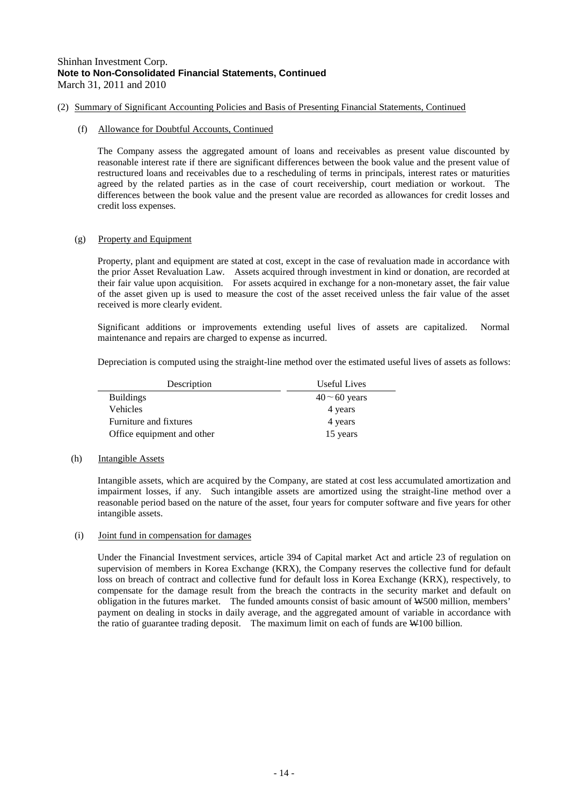#### (f) Allowance for Doubtful Accounts, Continued

The Company assess the aggregated amount of loans and receivables as present value discounted by reasonable interest rate if there are significant differences between the book value and the present value of restructured loans and receivables due to a rescheduling of terms in principals, interest rates or maturities agreed by the related parties as in the case of court receivership, court mediation or workout. The differences between the book value and the present value are recorded as allowances for credit losses and credit loss expenses.

## (g) Property and Equipment

Property, plant and equipment are stated at cost, except in the case of revaluation made in accordance with the prior Asset Revaluation Law. Assets acquired through investment in kind or donation, are recorded at their fair value upon acquisition. For assets acquired in exchange for a non-monetary asset, the fair value of the asset given up is used to measure the cost of the asset received unless the fair value of the asset received is more clearly evident.

Significant additions or improvements extending useful lives of assets are capitalized. Normal maintenance and repairs are charged to expense as incurred.

Depreciation is computed using the straight-line method over the estimated useful lives of assets as follows:

| Description                | Useful Lives       |
|----------------------------|--------------------|
| <b>Buildings</b>           | $40 \sim 60$ years |
| <b>Vehicles</b>            | 4 years            |
| Furniture and fixtures     | 4 years            |
| Office equipment and other | 15 years           |

#### (h) Intangible Assets

Intangible assets, which are acquired by the Company, are stated at cost less accumulated amortization and impairment losses, if any. Such intangible assets are amortized using the straight-line method over a reasonable period based on the nature of the asset, four years for computer software and five years for other intangible assets.

#### (i) Joint fund in compensation for damages

Under the Financial Investment services, article 394 of Capital market Act and article 23 of regulation on supervision of members in Korea Exchange (KRX), the Company reserves the collective fund for default loss on breach of contract and collective fund for default loss in Korea Exchange (KRX), respectively, to compensate for the damage result from the breach the contracts in the security market and default on obligation in the futures market. The funded amounts consist of basic amount of W500 million, members' payment on dealing in stocks in daily average, and the aggregated amount of variable in accordance with the ratio of guarantee trading deposit. The maximum limit on each of funds are W100 billion.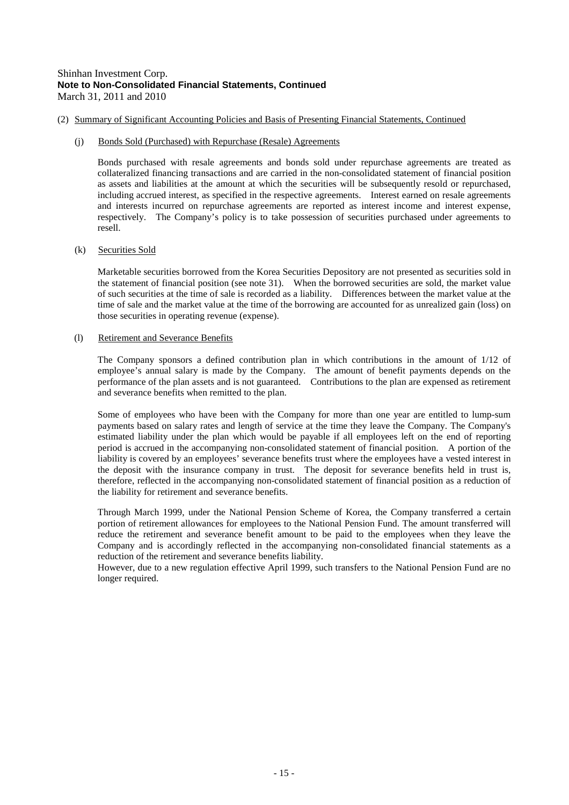(2) Summary of Significant Accounting Policies and Basis of Presenting Financial Statements, Continued

#### (j) Bonds Sold (Purchased) with Repurchase (Resale) Agreements

Bonds purchased with resale agreements and bonds sold under repurchase agreements are treated as collateralized financing transactions and are carried in the non-consolidated statement of financial position as assets and liabilities at the amount at which the securities will be subsequently resold or repurchased, including accrued interest, as specified in the respective agreements. Interest earned on resale agreements and interests incurred on repurchase agreements are reported as interest income and interest expense, respectively. The Company's policy is to take possession of securities purchased under agreements to resell.

#### (k) Securities Sold

Marketable securities borrowed from the Korea Securities Depository are not presented as securities sold in the statement of financial position (see note 31). When the borrowed securities are sold, the market value of such securities at the time of sale is recorded as a liability. Differences between the market value at the time of sale and the market value at the time of the borrowing are accounted for as unrealized gain (loss) on those securities in operating revenue (expense).

#### (l) Retirement and Severance Benefits

The Company sponsors a defined contribution plan in which contributions in the amount of 1/12 of employee's annual salary is made by the Company. The amount of benefit payments depends on the performance of the plan assets and is not guaranteed. Contributions to the plan are expensed as retirement and severance benefits when remitted to the plan.

Some of employees who have been with the Company for more than one year are entitled to lump-sum payments based on salary rates and length of service at the time they leave the Company. The Company's estimated liability under the plan which would be payable if all employees left on the end of reporting period is accrued in the accompanying non-consolidated statement of financial position. A portion of the liability is covered by an employees' severance benefits trust where the employees have a vested interest in the deposit with the insurance company in trust. The deposit for severance benefits held in trust is, therefore, reflected in the accompanying non-consolidated statement of financial position as a reduction of the liability for retirement and severance benefits.

Through March 1999, under the National Pension Scheme of Korea, the Company transferred a certain portion of retirement allowances for employees to the National Pension Fund. The amount transferred will reduce the retirement and severance benefit amount to be paid to the employees when they leave the Company and is accordingly reflected in the accompanying non-consolidated financial statements as a reduction of the retirement and severance benefits liability.

However, due to a new regulation effective April 1999, such transfers to the National Pension Fund are no longer required.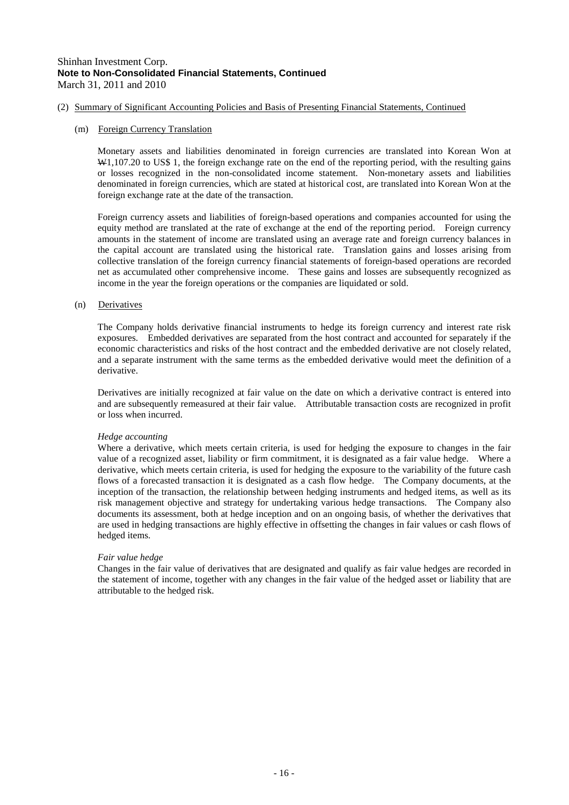#### (2) Summary of Significant Accounting Policies and Basis of Presenting Financial Statements, Continued

#### (m) Foreign Currency Translation

Monetary assets and liabilities denominated in foreign currencies are translated into Korean Won at W<sub>1</sub>,107.20 to US\$ 1, the foreign exchange rate on the end of the reporting period, with the resulting gains or losses recognized in the non-consolidated income statement. Non-monetary assets and liabilities denominated in foreign currencies, which are stated at historical cost, are translated into Korean Won at the foreign exchange rate at the date of the transaction.

Foreign currency assets and liabilities of foreign-based operations and companies accounted for using the equity method are translated at the rate of exchange at the end of the reporting period. Foreign currency amounts in the statement of income are translated using an average rate and foreign currency balances in the capital account are translated using the historical rate. Translation gains and losses arising from collective translation of the foreign currency financial statements of foreign-based operations are recorded net as accumulated other comprehensive income. These gains and losses are subsequently recognized as income in the year the foreign operations or the companies are liquidated or sold.

#### (n) Derivatives

The Company holds derivative financial instruments to hedge its foreign currency and interest rate risk exposures. Embedded derivatives are separated from the host contract and accounted for separately if the economic characteristics and risks of the host contract and the embedded derivative are not closely related, and a separate instrument with the same terms as the embedded derivative would meet the definition of a derivative.

Derivatives are initially recognized at fair value on the date on which a derivative contract is entered into and are subsequently remeasured at their fair value. Attributable transaction costs are recognized in profit or loss when incurred.

#### *Hedge accounting*

Where a derivative, which meets certain criteria, is used for hedging the exposure to changes in the fair value of a recognized asset, liability or firm commitment, it is designated as a fair value hedge. Where a derivative, which meets certain criteria, is used for hedging the exposure to the variability of the future cash flows of a forecasted transaction it is designated as a cash flow hedge. The Company documents, at the inception of the transaction, the relationship between hedging instruments and hedged items, as well as its risk management objective and strategy for undertaking various hedge transactions. The Company also documents its assessment, both at hedge inception and on an ongoing basis, of whether the derivatives that are used in hedging transactions are highly effective in offsetting the changes in fair values or cash flows of hedged items.

#### *Fair value hedge*

Changes in the fair value of derivatives that are designated and qualify as fair value hedges are recorded in the statement of income, together with any changes in the fair value of the hedged asset or liability that are attributable to the hedged risk.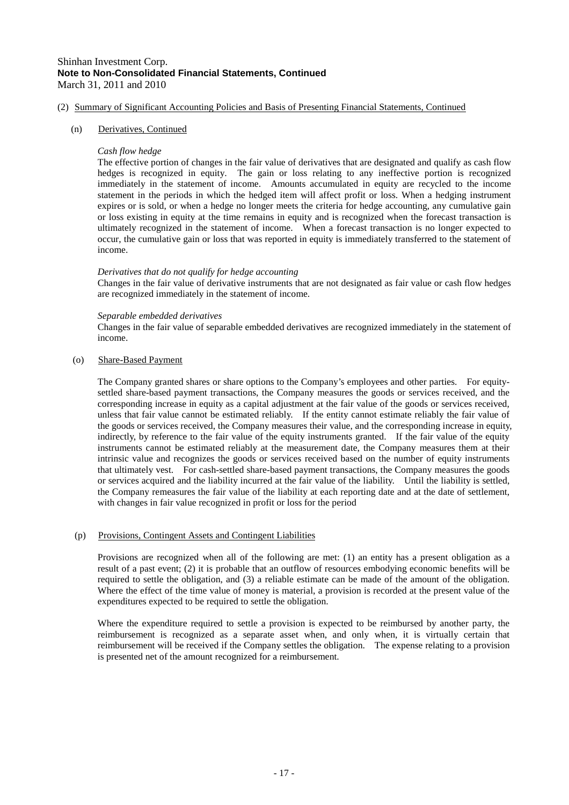#### (2) Summary of Significant Accounting Policies and Basis of Presenting Financial Statements, Continued

#### (n) Derivatives, Continued

#### *Cash flow hedge*

The effective portion of changes in the fair value of derivatives that are designated and qualify as cash flow hedges is recognized in equity. The gain or loss relating to any ineffective portion is recognized immediately in the statement of income. Amounts accumulated in equity are recycled to the income statement in the periods in which the hedged item will affect profit or loss. When a hedging instrument expires or is sold, or when a hedge no longer meets the criteria for hedge accounting, any cumulative gain or loss existing in equity at the time remains in equity and is recognized when the forecast transaction is ultimately recognized in the statement of income. When a forecast transaction is no longer expected to occur, the cumulative gain or loss that was reported in equity is immediately transferred to the statement of income.

#### *Derivatives that do not qualify for hedge accounting*

Changes in the fair value of derivative instruments that are not designated as fair value or cash flow hedges are recognized immediately in the statement of income.

#### *Separable embedded derivatives*

Changes in the fair value of separable embedded derivatives are recognized immediately in the statement of income.

#### (o) Share-Based Payment

The Company granted shares or share options to the Company's employees and other parties. For equitysettled share-based payment transactions, the Company measures the goods or services received, and the corresponding increase in equity as a capital adjustment at the fair value of the goods or services received, unless that fair value cannot be estimated reliably. If the entity cannot estimate reliably the fair value of the goods or services received, the Company measures their value, and the corresponding increase in equity, indirectly, by reference to the fair value of the equity instruments granted. If the fair value of the equity instruments cannot be estimated reliably at the measurement date, the Company measures them at their intrinsic value and recognizes the goods or services received based on the number of equity instruments that ultimately vest. For cash-settled share-based payment transactions, the Company measures the goods or services acquired and the liability incurred at the fair value of the liability. Until the liability is settled, the Company remeasures the fair value of the liability at each reporting date and at the date of settlement, with changes in fair value recognized in profit or loss for the period

#### (p) Provisions, Contingent Assets and Contingent Liabilities

Provisions are recognized when all of the following are met: (1) an entity has a present obligation as a result of a past event; (2) it is probable that an outflow of resources embodying economic benefits will be required to settle the obligation, and (3) a reliable estimate can be made of the amount of the obligation. Where the effect of the time value of money is material, a provision is recorded at the present value of the expenditures expected to be required to settle the obligation.

Where the expenditure required to settle a provision is expected to be reimbursed by another party, the reimbursement is recognized as a separate asset when, and only when, it is virtually certain that reimbursement will be received if the Company settles the obligation. The expense relating to a provision is presented net of the amount recognized for a reimbursement.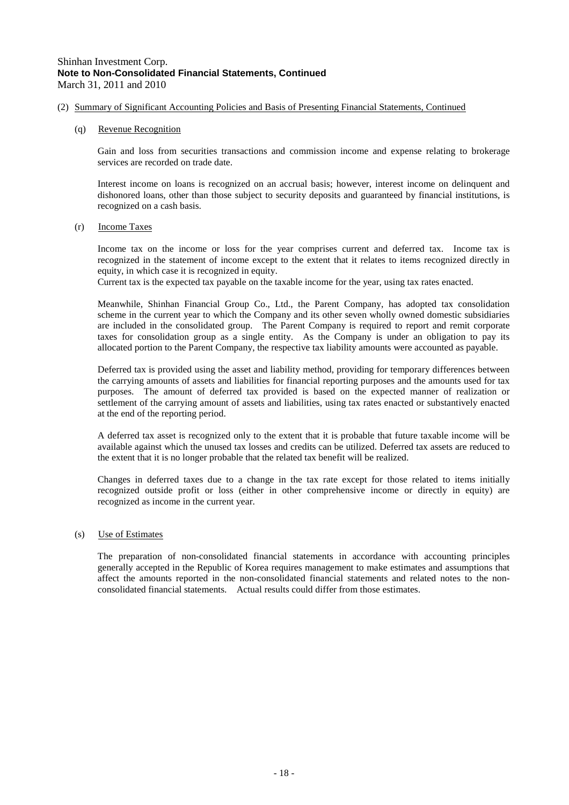- (2) Summary of Significant Accounting Policies and Basis of Presenting Financial Statements, Continued
	- (q) Revenue Recognition

Gain and loss from securities transactions and commission income and expense relating to brokerage services are recorded on trade date.

Interest income on loans is recognized on an accrual basis; however, interest income on delinquent and dishonored loans, other than those subject to security deposits and guaranteed by financial institutions, is recognized on a cash basis.

(r) Income Taxes

Income tax on the income or loss for the year comprises current and deferred tax. Income tax is recognized in the statement of income except to the extent that it relates to items recognized directly in equity, in which case it is recognized in equity.

Current tax is the expected tax payable on the taxable income for the year, using tax rates enacted.

Meanwhile, Shinhan Financial Group Co., Ltd., the Parent Company, has adopted tax consolidation scheme in the current year to which the Company and its other seven wholly owned domestic subsidiaries are included in the consolidated group. The Parent Company is required to report and remit corporate taxes for consolidation group as a single entity. As the Company is under an obligation to pay its allocated portion to the Parent Company, the respective tax liability amounts were accounted as payable.

Deferred tax is provided using the asset and liability method, providing for temporary differences between the carrying amounts of assets and liabilities for financial reporting purposes and the amounts used for tax purposes. The amount of deferred tax provided is based on the expected manner of realization or settlement of the carrying amount of assets and liabilities, using tax rates enacted or substantively enacted at the end of the reporting period.

A deferred tax asset is recognized only to the extent that it is probable that future taxable income will be available against which the unused tax losses and credits can be utilized. Deferred tax assets are reduced to the extent that it is no longer probable that the related tax benefit will be realized.

Changes in deferred taxes due to a change in the tax rate except for those related to items initially recognized outside profit or loss (either in other comprehensive income or directly in equity) are recognized as income in the current year.

#### (s) Use of Estimates

The preparation of non-consolidated financial statements in accordance with accounting principles generally accepted in the Republic of Korea requires management to make estimates and assumptions that affect the amounts reported in the non-consolidated financial statements and related notes to the nonconsolidated financial statements. Actual results could differ from those estimates.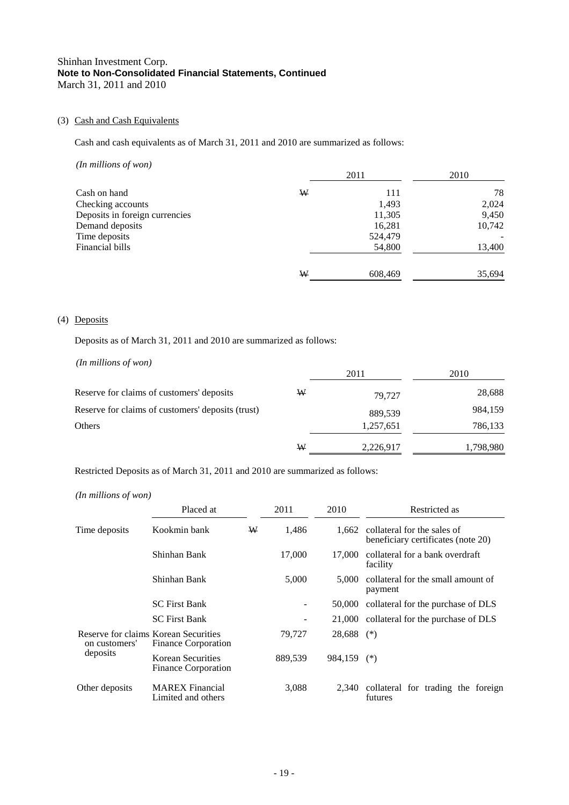## (3) Cash and Cash Equivalents

Cash and cash equivalents as of March 31, 2011 and 2010 are summarized as follows:

| $(In$ millions of won $)$      |   |         |        |
|--------------------------------|---|---------|--------|
|                                |   | 2011    | 2010   |
| Cash on hand                   | W | 111     | 78     |
| Checking accounts              |   | 1,493   | 2,024  |
| Deposits in foreign currencies |   | 11,305  | 9,450  |
| Demand deposits                |   | 16,281  | 10,742 |
| Time deposits                  |   | 524,479 |        |
| Financial bills                |   | 54,800  | 13,400 |
|                                | W | 608,469 | 35,694 |

## (4) Deposits

Deposits as of March 31, 2011 and 2010 are summarized as follows:

*(In millions of won)* 2011 2010 Reserve for claims of customers' deposits W 79,727 28,688 Reserve for claims of customers' deposits (trust) 889,539 984,159 Others 2,257,651 786,133 W 2,226,917 1,798,980

Restricted Deposits as of March 31, 2011 and 2010 are summarized as follows:

*(In millions of won)*

|                                                       | Placed at                                       |   | 2011    | 2010         | Restricted as                                                           |
|-------------------------------------------------------|-------------------------------------------------|---|---------|--------------|-------------------------------------------------------------------------|
| Time deposits                                         | Kookmin bank                                    | W | 1,486   |              | 1,662 collateral for the sales of<br>beneficiary certificates (note 20) |
|                                                       | Shinhan Bank                                    |   | 17,000  | 17.000       | collateral for a bank overdraft<br>facility                             |
|                                                       | Shinhan Bank                                    |   | 5,000   | 5.000        | collateral for the small amount of<br>payment                           |
|                                                       | <b>SC</b> First Bank                            |   |         | 50,000       | collateral for the purchase of DLS                                      |
|                                                       | <b>SC</b> First Bank                            |   |         |              | 21,000 collateral for the purchase of DLS                               |
| Reserve for claims Korean Securities<br>on customers' | <b>Finance Corporation</b>                      |   | 79,727  | $28,688$ (*) |                                                                         |
| deposits                                              | Korean Securities<br><b>Finance Corporation</b> |   | 889,539 | 984,159 (*)  |                                                                         |
| Other deposits                                        | <b>MAREX</b> Financial<br>Limited and others    |   | 3,088   | 2,340        | collateral for trading the foreign<br>futures                           |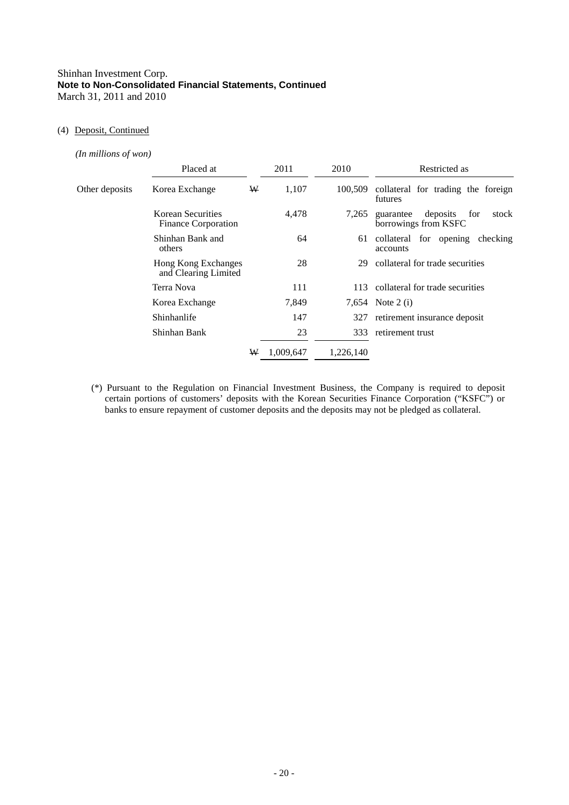#### (4) Deposit, Continued

*(In millions of won)*

|                | Placed at                                   |   | 2011      | 2010      | Restricted as                                                 |
|----------------|---------------------------------------------|---|-----------|-----------|---------------------------------------------------------------|
| Other deposits | Korea Exchange                              | W | 1,107     | 100,509   | collateral for trading the foreign<br>futures                 |
|                | Korean Securities<br>Finance Corporation    |   | 4,478     | 7,265     | deposits<br>stock<br>guarantee<br>for<br>borrowings from KSFC |
|                | Shinhan Bank and<br>others                  |   | 64        | 61        | collateral for opening checking<br>accounts                   |
|                | Hong Kong Exchanges<br>and Clearing Limited |   | 28        | 29        | collateral for trade securities                               |
|                | Terra Nova                                  |   | 111       | 113       | collateral for trade securities                               |
|                | Korea Exchange                              |   | 7,849     |           | 7,654 Note 2 (i)                                              |
|                | Shinhanlife                                 |   | 147       | 327       | retirement insurance deposit                                  |
|                | Shinhan Bank                                |   | 23        | 333       | retirement trust                                              |
|                |                                             | W | 1,009,647 | 1,226,140 |                                                               |

(\*) Pursuant to the Regulation on Financial Investment Business, the Company is required to deposit certain portions of customers' deposits with the Korean Securities Finance Corporation ("KSFC") or banks to ensure repayment of customer deposits and the deposits may not be pledged as collateral.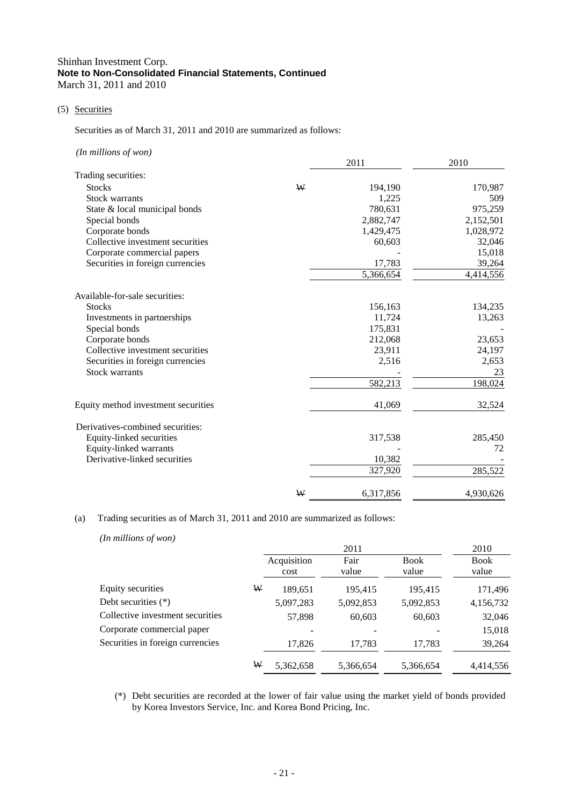#### (5) Securities

Securities as of March 31, 2011 and 2010 are summarized as follows:

| (In millions of won)                |   |           |           |
|-------------------------------------|---|-----------|-----------|
|                                     |   | 2011      | 2010      |
| Trading securities:                 |   |           |           |
| <b>Stocks</b>                       | W | 194,190   | 170,987   |
| <b>Stock warrants</b>               |   | 1,225     | 509       |
| State & local municipal bonds       |   | 780,631   | 975,259   |
| Special bonds                       |   | 2,882,747 | 2,152,501 |
| Corporate bonds                     |   | 1,429,475 | 1,028,972 |
| Collective investment securities    |   | 60,603    | 32,046    |
| Corporate commercial papers         |   |           | 15,018    |
| Securities in foreign currencies    |   | 17,783    | 39,264    |
|                                     |   | 5,366,654 | 4,414,556 |
| Available-for-sale securities:      |   |           |           |
| <b>Stocks</b>                       |   | 156,163   | 134,235   |
| Investments in partnerships         |   | 11,724    | 13,263    |
| Special bonds                       |   | 175,831   |           |
| Corporate bonds                     |   | 212,068   | 23,653    |
| Collective investment securities    |   | 23,911    | 24,197    |
| Securities in foreign currencies    |   | 2,516     | 2,653     |
| <b>Stock warrants</b>               |   |           | 23        |
|                                     |   | 582,213   | 198,024   |
| Equity method investment securities |   | 41,069    | 32,524    |
| Derivatives-combined securities:    |   |           |           |
| Equity-linked securities            |   | 317,538   | 285,450   |
| Equity-linked warrants              |   |           | 72        |
| Derivative-linked securities        |   | 10,382    |           |
|                                     |   | 327,920   | 285,522   |
|                                     | W | 6,317,856 | 4,930,626 |

## (a) Trading securities as of March 31, 2011 and 2010 are summarized as follows:

*(In millions of won)*

|                                  |   |                     | 2011          |               | 2010                 |
|----------------------------------|---|---------------------|---------------|---------------|----------------------|
|                                  |   | Acquisition<br>cost | Fair<br>value | Book<br>value | <b>Book</b><br>value |
| Equity securities                | ₩ | 189,651             | 195,415       | 195,415       | 171,496              |
| Debt securities $(*)$            |   | 5,097,283           | 5,092,853     | 5,092,853     | 4,156,732            |
| Collective investment securities |   | 57,898              | 60,603        | 60,603        | 32,046               |
| Corporate commercial paper       |   |                     |               |               | 15,018               |
| Securities in foreign currencies |   | 17,826              | 17,783        | 17,783        | 39,264               |
|                                  | W | 5,362,658           | 5,366,654     | 5,366,654     | 4,414,556            |

(\*) Debt securities are recorded at the lower of fair value using the market yield of bonds provided by Korea Investors Service, Inc. and Korea Bond Pricing, Inc.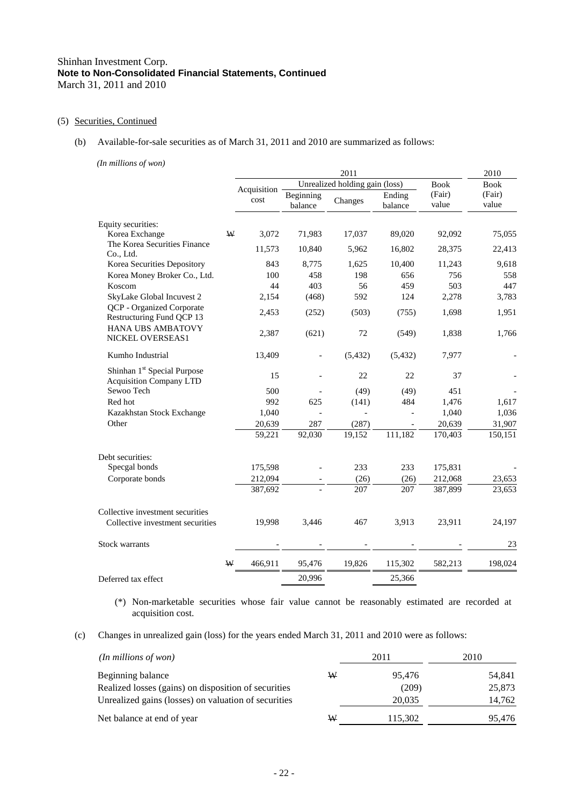#### (5) Securities, Continued

#### (b) Available-for-sale securities as of March 31, 2011 and 2010 are summarized as follows:

*(In millions of won)*

|                                                                           |      | 2011        |                      |                                |                   |                 |                 |  |
|---------------------------------------------------------------------------|------|-------------|----------------------|--------------------------------|-------------------|-----------------|-----------------|--|
|                                                                           |      | Acquisition |                      | Unrealized holding gain (loss) |                   | <b>Book</b>     | <b>Book</b>     |  |
|                                                                           | cost |             | Beginning<br>balance | Changes                        | Ending<br>balance | (Fair)<br>value | (Fair)<br>value |  |
| Equity securities:                                                        |      |             |                      |                                |                   |                 |                 |  |
| Korea Exchange                                                            | ₩    | 3,072       | 71,983               | 17,037                         | 89,020            | 92,092          | 75,055          |  |
| The Korea Securities Finance<br>Co., Ltd.                                 |      | 11,573      | 10,840               | 5,962                          | 16,802            | 28,375          | 22,413          |  |
| Korea Securities Depository                                               |      | 843         | 8,775                | 1,625                          | 10,400            | 11,243          | 9,618           |  |
| Korea Money Broker Co., Ltd.                                              |      | 100         | 458                  | 198                            | 656               | 756             | 558             |  |
| Koscom                                                                    |      | 44          | 403                  | 56                             | 459               | 503             | 447             |  |
| SkyLake Global Incuvest 2                                                 |      | 2,154       | (468)                | 592                            | 124               | 2,278           | 3,783           |  |
| QCP - Organized Corporate<br>Restructuring Fund QCP 13                    |      | 2,453       | (252)                | (503)                          | (755)             | 1,698           | 1,951           |  |
| HANA UBS AMBATOVY<br>NICKEL OVERSEAS1                                     |      | 2,387       | (621)                | 72                             | (549)             | 1,838           | 1,766           |  |
| Kumho Industrial                                                          |      | 13,409      | $\overline{a}$       | (5, 432)                       | (5, 432)          | 7,977           |                 |  |
| Shinhan 1 <sup>st</sup> Special Purpose<br><b>Acquisition Company LTD</b> |      | 15          |                      | 22                             | 22                | 37              |                 |  |
| Sewoo Tech                                                                |      | 500         |                      | (49)                           | (49)              | 451             |                 |  |
| Red hot                                                                   |      | 992         | 625                  | (141)                          | 484               | 1,476           | 1,617           |  |
| Kazakhstan Stock Exchange                                                 |      | 1,040       |                      |                                |                   | 1,040           | 1,036           |  |
| Other                                                                     |      | 20,639      | 287                  | (287)                          |                   | 20,639          | 31,907          |  |
|                                                                           |      | 59,221      | 92,030               | 19,152                         | 111,182           | 170,403         | 150,151         |  |
| Debt securities:                                                          |      |             |                      |                                |                   |                 |                 |  |
| Specgal bonds                                                             |      | 175,598     |                      | 233                            | 233               | 175,831         |                 |  |
| Corporate bonds                                                           |      | 212,094     |                      | (26)                           | (26)              | 212,068         | 23,653          |  |
|                                                                           |      | 387,692     |                      | 207                            | 207               | 387,899         | 23,653          |  |
| Collective investment securities                                          |      |             |                      |                                |                   |                 |                 |  |
| Collective investment securities                                          |      | 19,998      | 3,446                | 467                            | 3,913             | 23,911          | 24,197          |  |
| Stock warrants                                                            |      |             |                      |                                |                   |                 | 23              |  |
|                                                                           | W    | 466,911     | 95,476               | 19,826                         | 115,302           | 582,213         | 198,024         |  |
| Deferred tax effect                                                       |      |             | 20,996               |                                | 25,366            |                 |                 |  |

(\*) Non-marketable securities whose fair value cannot be reasonably estimated are recorded at acquisition cost.

(c) Changes in unrealized gain (loss) for the years ended March 31, 2011 and 2010 were as follows:

| $(In$ millions of won $)$                            |   | 2011    | 2010   |
|------------------------------------------------------|---|---------|--------|
| Beginning balance                                    | W | 95.476  | 54,841 |
| Realized losses (gains) on disposition of securities |   | (209)   | 25,873 |
| Unrealized gains (losses) on valuation of securities |   | 20,035  | 14,762 |
| Net balance at end of year                           | W | 115,302 | 95.476 |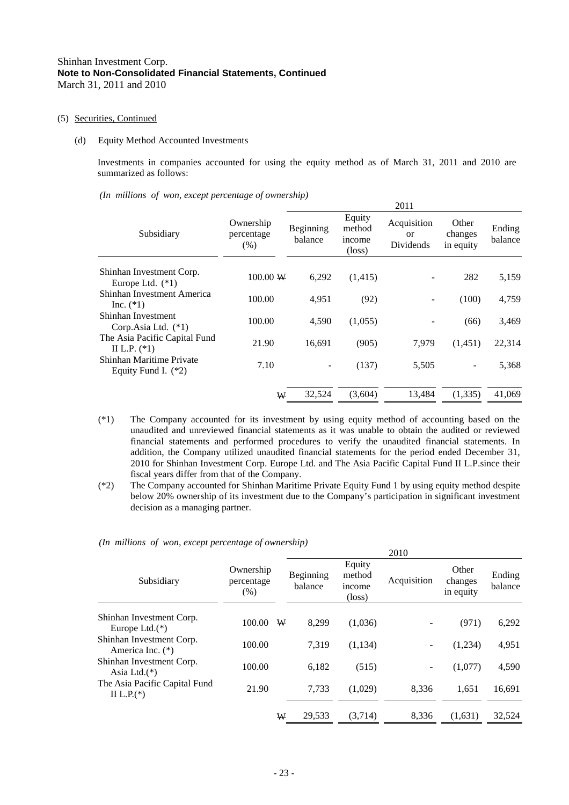#### (5) Securities, Continued

#### (d) Equity Method Accounted Investments

Investments in companies accounted for using the equity method as of March 31, 2011 and 2010 are summarized as follows:

 $2011$ 

2010

*(In millions of won, except percentage of ownership)*

|                                                   |                                 |                      |                                               | 40 L L                                |                               |                   |
|---------------------------------------------------|---------------------------------|----------------------|-----------------------------------------------|---------------------------------------|-------------------------------|-------------------|
| Subsidiary                                        | Ownership<br>percentage<br>(% ) | Beginning<br>balance | Equity<br>method<br>income<br>$(\text{loss})$ | Acquisition<br><b>or</b><br>Dividends | Other<br>changes<br>in equity | Ending<br>balance |
| Shinhan Investment Corp.<br>Europe Ltd. $(*1)$    | 100.00 W                        | 6,292                | (1,415)                                       |                                       | 282                           | 5,159             |
| Shinhan Investment America<br>Inc. $(*1)$         | 100.00                          | 4.951                | (92)                                          |                                       | (100)                         | 4,759             |
| Shinhan Investment<br>Corp. Asia Ltd. $(*1)$      | 100.00                          | 4.590                | (1,055)                                       |                                       | (66)                          | 3,469             |
| The Asia Pacific Capital Fund<br>II L.P. $(*1)$   | 21.90                           | 16.691               | (905)                                         | 7.979                                 | (1,451)                       | 22,314            |
| Shinhan Maritime Private<br>Equity Fund I. $(*2)$ | 7.10                            |                      | (137)                                         | 5,505                                 |                               | 5,368             |
|                                                   | W                               | 32,524               | (3,604)                                       | 13,484                                | (1,335)                       | 41,069            |

- (\*1) The Company accounted for its investment by using equity method of accounting based on the unaudited and unreviewed financial statements as it was unable to obtain the audited or reviewed financial statements and performed procedures to verify the unaudited financial statements. In addition, the Company utilized unaudited financial statements for the period ended December 31, 2010 for Shinhan Investment Corp. Europe Ltd. and The Asia Pacific Capital Fund II L.P.since their fiscal years differ from that of the Company.
- (\*2) The Company accounted for Shinhan Maritime Private Equity Fund 1 by using equity method despite below 20% ownership of its investment due to the Company's participation in significant investment decision as a managing partner.

| Subsidiary                                     | Ownership<br>percentage<br>(% ) |   | Beginning<br>balance | Equity<br>method<br>income<br>$(\text{loss})$ | Acquisition | Other<br>changes<br>in equity | Ending<br>balance |
|------------------------------------------------|---------------------------------|---|----------------------|-----------------------------------------------|-------------|-------------------------------|-------------------|
| Shinhan Investment Corp.<br>Europe Ltd. $(*)$  | 100.00                          | W | 8.299                | (1,036)                                       |             | (971)                         | 6,292             |
| Shinhan Investment Corp.<br>America Inc. $(*)$ | 100.00                          |   | 7.319                | (1, 134)                                      |             | (1,234)                       | 4,951             |
| Shinhan Investment Corp.<br>Asia Ltd. $(*)$    | 100.00                          |   | 6.182                | (515)                                         |             | (1,077)                       | 4,590             |
| The Asia Pacific Capital Fund<br>II L.P. $(*)$ | 21.90                           |   | 7.733                | (1,029)                                       | 8.336       | 1.651                         | 16,691            |
|                                                |                                 | W | 29.533               | (3,714)                                       | 8.336       | (1,631)                       | 32.524            |

*(In millions of won, except percentage of ownership)*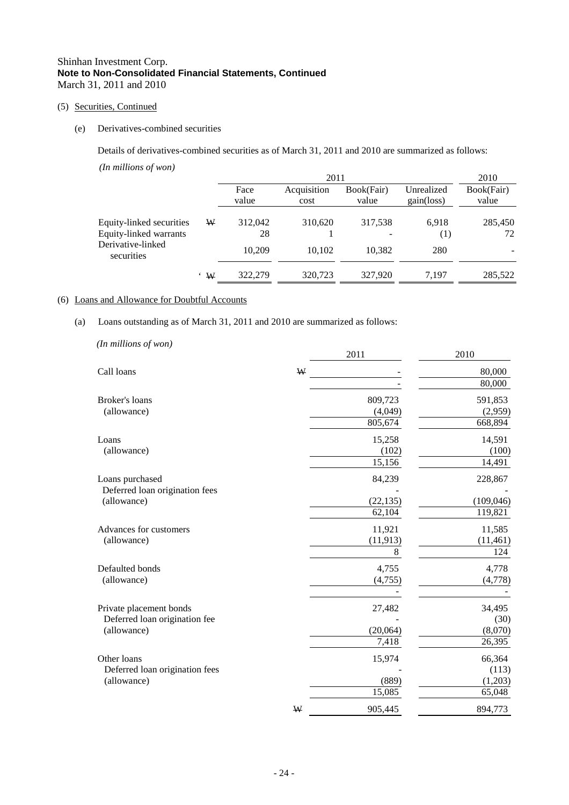## (5) Securities, Continued

## (e) Derivatives-combined securities

Details of derivatives-combined securities as of March 31, 2011 and 2010 are summarized as follows:

*(In millions of won)*

|                                                    |   |               | 2011                |                     |                                   | 2010                |
|----------------------------------------------------|---|---------------|---------------------|---------------------|-----------------------------------|---------------------|
|                                                    |   | Face<br>value | Acquisition<br>cost | Book(Fair)<br>value | Unrealized<br>$gain(\text{loss})$ | Book(Fair)<br>value |
| Equity-linked securities<br>Equity-linked warrants | ₩ | 312,042<br>28 | 310,620             | 317,538             | 6,918<br>(1)                      | 285,450<br>72       |
| Derivative-linked<br>securities                    |   | 10.209        | 10.102              | 10,382              | 280                               |                     |
|                                                    | W | 322,279       | 320,723             | 327,920             | 7.197                             | 285,522             |

## (6) Loans and Allowance for Doubtful Accounts

## (a) Loans outstanding as of March 31, 2011 and 2010 are summarized as follows:

| (In millions of won)           |   |           |            |
|--------------------------------|---|-----------|------------|
|                                |   | 2011      | 2010       |
| Call loans                     | ₩ |           | 80,000     |
|                                |   |           | 80,000     |
| Broker's loans                 |   | 809,723   | 591,853    |
| (allowance)                    |   | (4,049)   | (2,959)    |
|                                |   | 805,674   | 668,894    |
| Loans                          |   | 15,258    | 14,591     |
| (allowance)                    |   | (102)     | (100)      |
|                                |   | 15,156    | 14,491     |
| Loans purchased                |   | 84,239    | 228,867    |
| Deferred loan origination fees |   |           |            |
| (allowance)                    |   | (22, 135) | (109, 046) |
|                                |   | 62,104    | 119,821    |
| Advances for customers         |   | 11,921    | 11,585     |
| (allowance)                    |   | (11, 913) | (11, 461)  |
|                                |   | 8         | 124        |
| Defaulted bonds                |   | 4,755     | 4,778      |
| (allowance)                    |   | (4,755)   | (4,778)    |
|                                |   |           |            |
| Private placement bonds        |   | 27,482    | 34,495     |
| Deferred loan origination fee  |   |           | (30)       |
| (allowance)                    |   | (20,064)  | (8,070)    |
|                                |   | 7,418     | 26,395     |
| Other loans                    |   | 15,974    | 66,364     |
| Deferred loan origination fees |   |           | (113)      |
| (allowance)                    |   | (889)     | (1,203)    |
|                                |   | 15,085    | 65,048     |
|                                | W | 905,445   | 894,773    |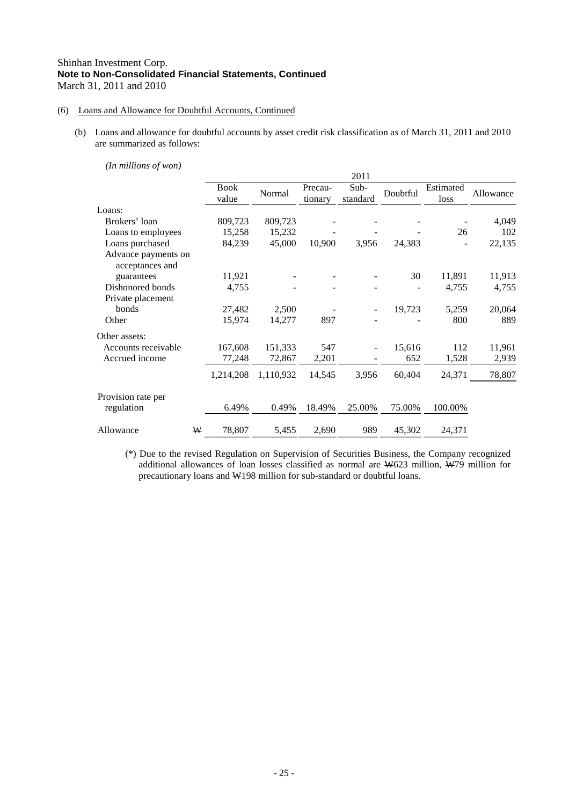## (6) Loans and Allowance for Doubtful Accounts, Continued

(b) Loans and allowance for doubtful accounts by asset credit risk classification as of March 31, 2011 and 2010 are summarized as follows:

*(In millions of won)*

|                                        |   |                      |           |                    | 2011             |          |                   |           |
|----------------------------------------|---|----------------------|-----------|--------------------|------------------|----------|-------------------|-----------|
|                                        |   | <b>Book</b><br>value | Normal    | Precau-<br>tionary | Sub-<br>standard | Doubtful | Estimated<br>loss | Allowance |
| Loans:                                 |   |                      |           |                    |                  |          |                   |           |
| Brokers' loan                          |   | 809,723              | 809,723   |                    |                  |          |                   | 4,049     |
| Loans to employees                     |   | 15,258               | 15,232    |                    |                  |          | 26                | 102       |
| Loans purchased                        |   | 84,239               | 45,000    | 10,900             | 3,956            | 24,383   |                   | 22,135    |
| Advance payments on<br>acceptances and |   |                      |           |                    |                  |          |                   |           |
| guarantees                             |   | 11,921               |           |                    |                  | 30       | 11,891            | 11,913    |
| Dishonored bonds                       |   | 4,755                |           |                    |                  |          | 4,755             | 4,755     |
| Private placement                      |   |                      |           |                    |                  |          |                   |           |
| bonds                                  |   | 27,482               | 2,500     |                    |                  | 19,723   | 5,259             | 20,064    |
| Other                                  |   | 15,974               | 14,277    | 897                |                  |          | 800               | 889       |
| Other assets:                          |   |                      |           |                    |                  |          |                   |           |
| Accounts receivable                    |   | 167,608              | 151,333   | 547                |                  | 15,616   | 112               | 11,961    |
| Accrued income                         |   | 77,248               | 72,867    | 2,201              |                  | 652      | 1,528             | 2,939     |
|                                        |   | 1,214,208            | 1,110,932 | 14,545             | 3,956            | 60,404   | 24,371            | 78,807    |
| Provision rate per                     |   |                      |           |                    |                  |          |                   |           |
| regulation                             |   | 6.49%                | 0.49%     | 18.49%             | 25.00%           | 75.00%   | 100.00%           |           |
| Allowance                              | ₩ | 78,807               | 5,455     | 2,690              | 989              | 45,302   | 24,371            |           |

(\*) Due to the revised Regulation on Supervision of Securities Business, the Company recognized additional allowances of loan losses classified as normal are W623 million, W79 million for precautionary loans and W198 million for sub-standard or doubtful loans.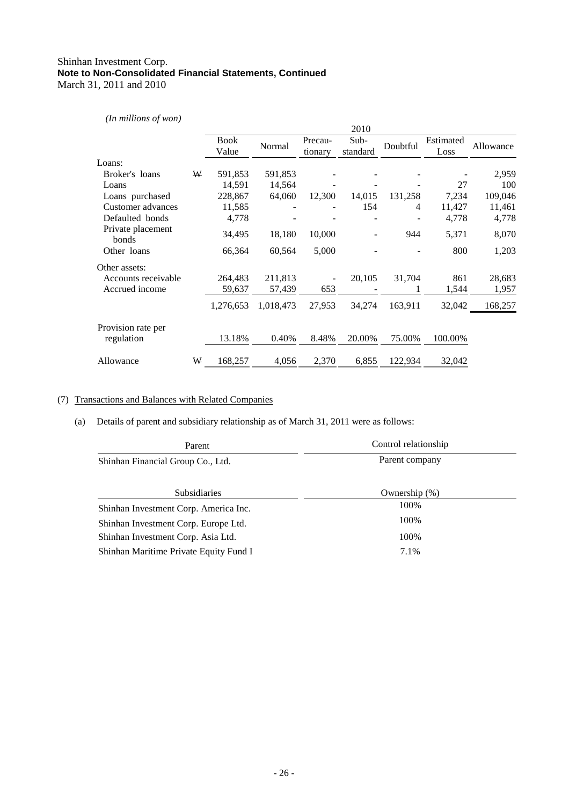## *(In millions of won)*

|                            |   |                      |           |                    | 2010               |          |                   |           |
|----------------------------|---|----------------------|-----------|--------------------|--------------------|----------|-------------------|-----------|
|                            |   | <b>Book</b><br>Value | Normal    | Precau-<br>tionary | $Sub-$<br>standard | Doubtful | Estimated<br>Loss | Allowance |
| Loans:                     |   |                      |           |                    |                    |          |                   |           |
| Broker's loans             | W | 591,853              | 591,853   |                    |                    |          |                   | 2,959     |
| Loans                      |   | 14,591               | 14,564    |                    |                    |          | 27                | 100       |
| Loans purchased            |   | 228,867              | 64,060    | 12,300             | 14,015             | 131,258  | 7,234             | 109,046   |
| Customer advances          |   | 11,585               |           |                    | 154                | 4        | 11,427            | 11,461    |
| Defaulted bonds            |   | 4,778                |           |                    |                    |          | 4,778             | 4,778     |
| Private placement<br>bonds |   | 34,495               | 18,180    | 10,000             |                    | 944      | 5,371             | 8,070     |
| Other loans                |   | 66,364               | 60,564    | 5,000              |                    |          | 800               | 1,203     |
| Other assets:              |   |                      |           |                    |                    |          |                   |           |
| Accounts receivable        |   | 264,483              | 211,813   |                    | 20,105             | 31,704   | 861               | 28,683    |
| Accrued income             |   | 59,637               | 57,439    | 653                |                    |          | 1,544             | 1,957     |
|                            |   | 1,276,653            | 1,018,473 | 27,953             | 34,274             | 163,911  | 32,042            | 168,257   |
| Provision rate per         |   |                      |           |                    |                    |          |                   |           |
| regulation                 |   | 13.18%               | 0.40%     | 8.48%              | 20.00%             | 75.00%   | 100.00%           |           |
| Allowance                  | W | 168,257              | 4,056     | 2,370              | 6,855              | 122,934  | 32,042            |           |

## (7) Transactions and Balances with Related Companies

## (a) Details of parent and subsidiary relationship as of March 31, 2011 were as follows:

| Parent                                 | Control relationship |  |  |  |
|----------------------------------------|----------------------|--|--|--|
| Shinhan Financial Group Co., Ltd.      | Parent company       |  |  |  |
|                                        |                      |  |  |  |
| <b>Subsidiaries</b>                    | Ownership $(\%)$     |  |  |  |
| Shinhan Investment Corp. America Inc.  | 100%                 |  |  |  |
| Shinhan Investment Corp. Europe Ltd.   | 100%                 |  |  |  |
| Shinhan Investment Corp. Asia Ltd.     | 100%                 |  |  |  |
| Shinhan Maritime Private Equity Fund I | 7.1%                 |  |  |  |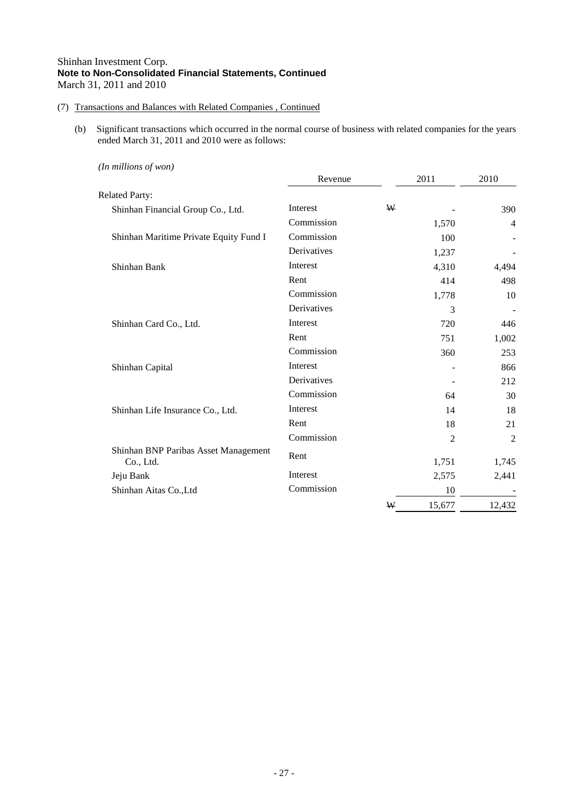## (7) Transactions and Balances with Related Companies , Continued

(b) Significant transactions which occurred in the normal course of business with related companies for the years ended March 31, 2011 and 2010 were as follows:

| Revenue     |   | 2011   | 2010   |
|-------------|---|--------|--------|
|             |   |        |        |
| Interest    | W |        | 390    |
| Commission  |   | 1,570  | 4      |
| Commission  |   | 100    |        |
| Derivatives |   | 1,237  |        |
| Interest    |   | 4,310  | 4,494  |
| Rent        |   | 414    | 498    |
| Commission  |   | 1,778  | 10     |
| Derivatives |   | 3      |        |
| Interest    |   | 720    | 446    |
| Rent        |   | 751    | 1,002  |
| Commission  |   | 360    | 253    |
| Interest    |   |        | 866    |
| Derivatives |   |        | 212    |
| Commission  |   | 64     | 30     |
| Interest    |   | 14     | 18     |
| Rent        |   | 18     | 21     |
| Commission  |   | 2      | 2      |
| Rent        |   | 1,751  | 1,745  |
| Interest    |   |        | 2,441  |
| Commission  |   | 10     |        |
|             | ₩ | 15,677 | 12,432 |
|             |   |        | 2,575  |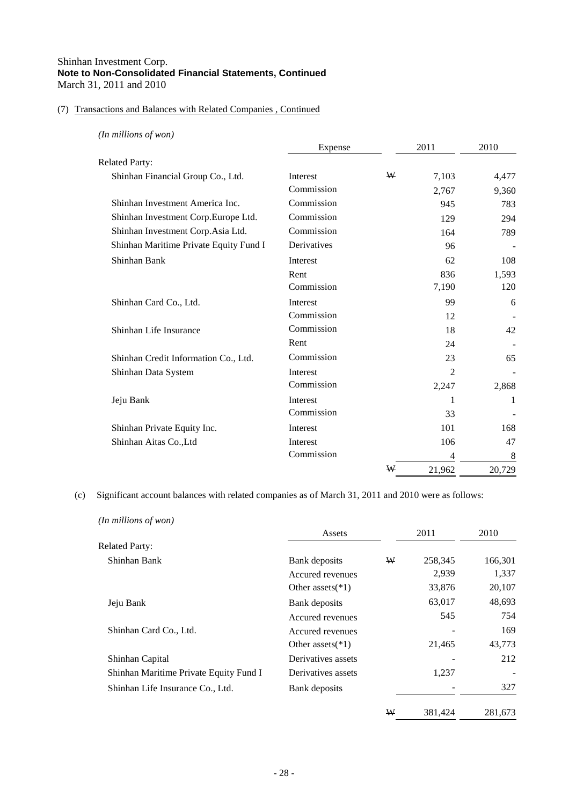## (7) Transactions and Balances with Related Companies , Continued

| (In millions of won)                   |             |   |        |        |
|----------------------------------------|-------------|---|--------|--------|
|                                        | Expense     |   | 2011   | 2010   |
| <b>Related Party:</b>                  |             |   |        |        |
| Shinhan Financial Group Co., Ltd.      | Interest    | W | 7,103  | 4,477  |
|                                        | Commission  |   | 2,767  | 9,360  |
| Shinhan Investment America Inc.        | Commission  |   | 945    | 783    |
| Shinhan Investment Corp.Europe Ltd.    | Commission  |   | 129    | 294    |
| Shinhan Investment Corp.Asia Ltd.      | Commission  |   | 164    | 789    |
| Shinhan Maritime Private Equity Fund I | Derivatives |   | 96     |        |
| Shinhan Bank                           | Interest    |   | 62     | 108    |
|                                        | Rent        |   | 836    | 1,593  |
|                                        | Commission  |   | 7,190  | 120    |
| Shinhan Card Co., Ltd.                 | Interest    |   | 99     | 6      |
|                                        | Commission  |   | 12     |        |
| Shinhan Life Insurance                 | Commission  |   | 18     | 42     |
|                                        | Rent        |   | 24     |        |
| Shinhan Credit Information Co., Ltd.   | Commission  |   | 23     | 65     |
| Shinhan Data System                    | Interest    |   | 2      |        |
|                                        | Commission  |   | 2,247  | 2,868  |
| Jeju Bank                              | Interest    |   | 1      | 1      |
|                                        | Commission  |   | 33     |        |
| Shinhan Private Equity Inc.            | Interest    |   | 101    | 168    |
| Shinhan Aitas Co., Ltd                 | Interest    |   | 106    | 47     |
|                                        | Commission  |   | 4      | 8      |
|                                        |             | W | 21,962 | 20,729 |

(c) Significant account balances with related companies as of March 31, 2011 and 2010 were as follows:

| (In millions of won)                   |                     |   |         |         |
|----------------------------------------|---------------------|---|---------|---------|
|                                        | Assets              |   | 2011    | 2010    |
| <b>Related Party:</b>                  |                     |   |         |         |
| Shinhan Bank                           | Bank deposits       | W | 258,345 | 166,301 |
|                                        | Accured revenues    |   | 2,939   | 1,337   |
|                                        | Other assets $(*1)$ |   | 33,876  | 20,107  |
| Jeju Bank                              | Bank deposits       |   | 63,017  | 48,693  |
|                                        | Accured revenues    |   | 545     | 754     |
| Shinhan Card Co., Ltd.                 | Accured revenues    |   |         | 169     |
|                                        | Other assets $(*1)$ |   | 21,465  | 43,773  |
| Shinhan Capital                        | Derivatives assets  |   |         | 212     |
| Shinhan Maritime Private Equity Fund I | Derivatives assets  |   | 1,237   |         |
| Shinhan Life Insurance Co., Ltd.       | Bank deposits       |   |         | 327     |
|                                        |                     | W | 381,424 | 281,673 |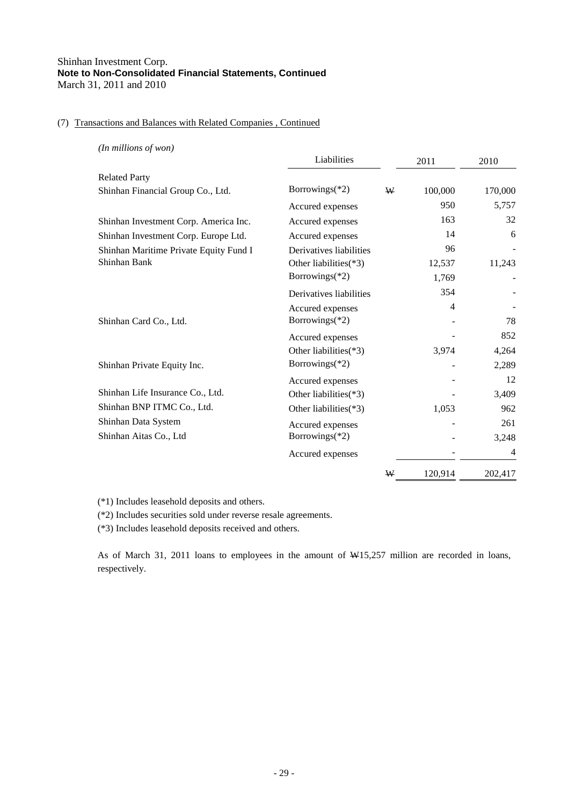## (7) Transactions and Balances with Related Companies , Continued

| (In millions of won)                   |                          |      |         |         |
|----------------------------------------|--------------------------|------|---------|---------|
|                                        | Liabilities              | 2011 |         | 2010    |
| <b>Related Party</b>                   |                          |      |         |         |
| Shinhan Financial Group Co., Ltd.      | Borrowings $(*2)$        | W    | 100,000 | 170,000 |
|                                        | Accured expenses         |      | 950     | 5,757   |
| Shinhan Investment Corp. America Inc.  | Accured expenses         |      | 163     | 32      |
| Shinhan Investment Corp. Europe Ltd.   | Accured expenses         |      | 14      | 6       |
| Shinhan Maritime Private Equity Fund I | Derivatives liabilities  |      | 96      |         |
| Shinhan Bank                           | Other liabilities(*3)    |      | 12,537  | 11,243  |
|                                        | Borrowings(*2)           |      | 1,769   |         |
|                                        | Derivatives liabilities  |      | 354     |         |
|                                        | Accured expenses         |      | 4       |         |
| Shinhan Card Co., Ltd.                 | Borrowings $(*2)$        |      |         | 78      |
|                                        | Accured expenses         |      |         | 852     |
|                                        | Other liabilities(*3)    |      | 3,974   | 4,264   |
| Shinhan Private Equity Inc.            | Borrowings(*2)           |      |         | 2,289   |
|                                        | Accured expenses         |      |         | 12      |
| Shinhan Life Insurance Co., Ltd.       | Other liabilities $(*3)$ |      |         | 3,409   |
| Shinhan BNP ITMC Co., Ltd.             | Other liabilities(*3)    |      | 1,053   | 962     |
| Shinhan Data System                    | Accured expenses         |      |         | 261     |
| Shinhan Aitas Co., Ltd                 | Borrowings(*2)           |      |         | 3,248   |
|                                        | Accured expenses         |      |         | 4       |
|                                        |                          | W    | 120,914 | 202,417 |
|                                        |                          |      |         |         |

(\*1) Includes leasehold deposits and others.

(\*2) Includes securities sold under reverse resale agreements.

(\*3) Includes leasehold deposits received and others.

As of March 31, 2011 loans to employees in the amount of W15,257 million are recorded in loans, respectively.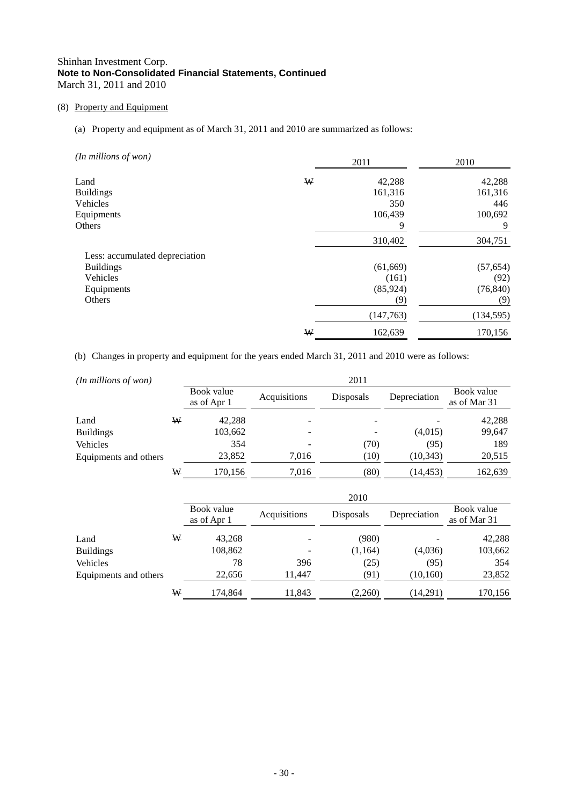## (8) Property and Equipment

## (a) Property and equipment as of March 31, 2011 and 2010 are summarized as follows:

| (In millions of won)           | 2011 |           | 2010       |  |
|--------------------------------|------|-----------|------------|--|
| Land                           | W    | 42,288    | 42,288     |  |
| <b>Buildings</b>               |      | 161,316   | 161,316    |  |
| Vehicles                       |      | 350       | 446        |  |
| Equipments                     |      | 106,439   | 100,692    |  |
| Others                         |      | 9         | 9          |  |
|                                |      | 310,402   | 304,751    |  |
| Less: accumulated depreciation |      |           |            |  |
| <b>Buildings</b>               |      | (61, 669) | (57, 654)  |  |
| Vehicles                       |      | (161)     | (92)       |  |
| Equipments                     |      | (85, 924) | (76, 840)  |  |
| Others                         |      | (9)       | (9)        |  |
|                                |      | (147,763) | (134, 595) |  |
|                                | W    | 162,639   | 170,156    |  |

(b) Changes in property and equipment for the years ended March 31, 2011 and 2010 were as follows:

| $(In$ millions of won $)$ |   |                           |              | 2011             |              |                            |
|---------------------------|---|---------------------------|--------------|------------------|--------------|----------------------------|
|                           |   | Book value<br>as of Apr 1 | Acquisitions | <b>Disposals</b> | Depreciation | Book value<br>as of Mar 31 |
| Land                      | W | 42,288                    |              | $\qquad \qquad$  |              | 42,288                     |
| <b>Buildings</b>          |   | 103,662                   |              |                  | (4,015)      | 99,647                     |
| Vehicles                  |   | 354                       |              | (70)             | (95)         | 189                        |
| Equipments and others     |   | 23,852                    | 7.016        | (10)             | (10, 343)    | 20,515                     |
|                           | W | 170.156                   | 7.016        | (80)             | (14, 453)    | 162,639                    |

|                       |   | 2010                      |              |           |              |                            |  |
|-----------------------|---|---------------------------|--------------|-----------|--------------|----------------------------|--|
|                       |   | Book value<br>as of Apr 1 | Acquisitions | Disposals | Depreciation | Book value<br>as of Mar 31 |  |
| Land                  | W | 43,268                    |              | (980)     |              | 42,288                     |  |
| <b>Buildings</b>      |   | 108,862                   |              | (1,164)   | (4,036)      | 103,662                    |  |
| Vehicles              |   | 78                        | 396          | (25)      | (95)         | 354                        |  |
| Equipments and others |   | 22,656                    | 11.447       | (91)      | (10, 160)    | 23,852                     |  |
|                       | W | 174,864                   | 11,843       | (2,260)   | (14,291)     | 170,156                    |  |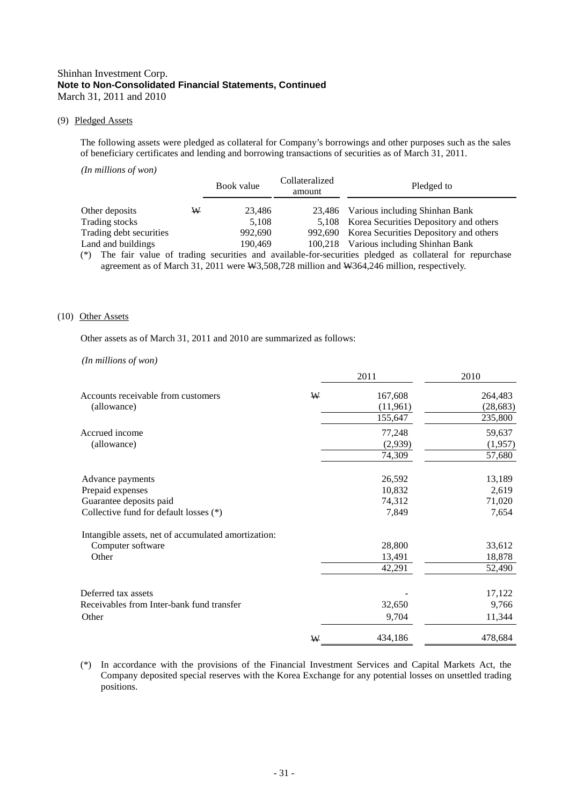#### (9) Pledged Assets

The following assets were pledged as collateral for Company's borrowings and other purposes such as the sales of beneficiary certificates and lending and borrowing transactions of securities as of March 31, 2011.

| (In millions of won)    |   |            |                          |                                                                                                  |
|-------------------------|---|------------|--------------------------|--------------------------------------------------------------------------------------------------|
|                         |   | Book value | Collateralized<br>amount | Pledged to                                                                                       |
| Other deposits          | ₩ | 23,486     |                          | 23,486 Various including Shinhan Bank                                                            |
| Trading stocks          |   | 5.108      |                          | 5,108 Korea Securities Depository and others                                                     |
| Trading debt securities |   | 992,690    | 992.690                  | Korea Securities Depository and others                                                           |
| Land and buildings      |   | 190,469    |                          | 100,218 Various including Shinhan Bank                                                           |
|                         |   | $\cdots$   | $\cdots$                 | $\mathbf{1}$ , and a set of $\mathbf{1}$ , and a set of $\mathbf{1}$ , and a set of $\mathbf{1}$ |

(\*) The fair value of trading securities and available-for-securities pledged as collateral for repurchase agreement as of March 31, 2011 were W3,508,728 million and W364,246 million, respectively.

#### (10) Other Assets

Other assets as of March 31, 2011 and 2010 are summarized as follows:

#### *(In millions of won)*

|                                                     |   | 2011     | 2010      |
|-----------------------------------------------------|---|----------|-----------|
| Accounts receivable from customers                  | ₩ | 167,608  | 264,483   |
| (allowance)                                         |   | (11,961) | (28, 683) |
|                                                     |   | 155,647  | 235,800   |
| Accrued income                                      |   | 77,248   | 59,637    |
| (allowance)                                         |   | (2,939)  | (1,957)   |
|                                                     |   | 74,309   | 57,680    |
| Advance payments                                    |   | 26,592   | 13,189    |
| Prepaid expenses                                    |   | 10,832   | 2,619     |
| Guarantee deposits paid                             |   | 74,312   | 71,020    |
| Collective fund for default losses (*)              |   | 7,849    | 7,654     |
| Intangible assets, net of accumulated amortization: |   |          |           |
| Computer software                                   |   | 28,800   | 33,612    |
| Other                                               |   | 13,491   | 18,878    |
|                                                     |   | 42,291   | 52,490    |
| Deferred tax assets                                 |   |          | 17,122    |
| Receivables from Inter-bank fund transfer           |   | 32,650   | 9,766     |
| Other                                               |   | 9,704    | 11,344    |
|                                                     | W | 434,186  | 478,684   |

(\*) In accordance with the provisions of the Financial Investment Services and Capital Markets Act, the Company deposited special reserves with the Korea Exchange for any potential losses on unsettled trading positions.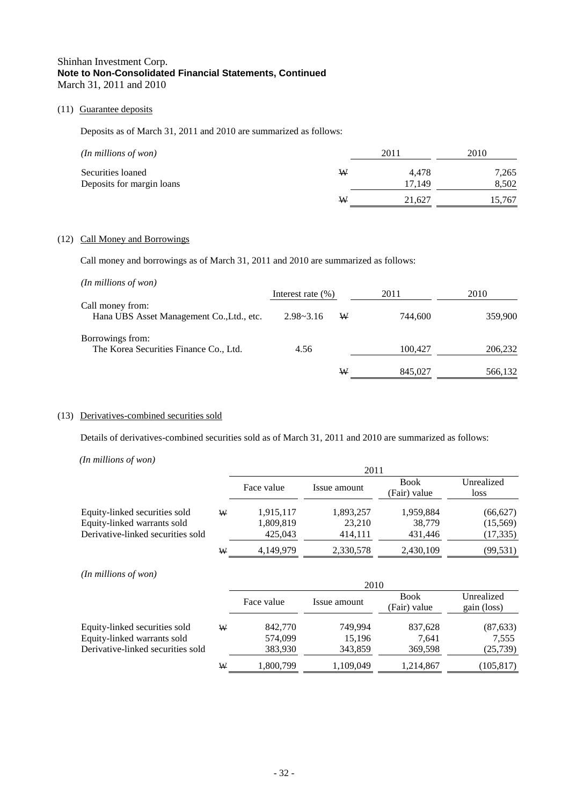## (11) Guarantee deposits

Deposits as of March 31, 2011 and 2010 are summarized as follows:

| $(In$ millions of won $)$                      |   | 2011            | 2010           |
|------------------------------------------------|---|-----------------|----------------|
| Securities loaned<br>Deposits for margin loans | ₩ | 4.478<br>17.149 | 7,265<br>8.502 |
|                                                | W | 21.627          | 15,767         |

## (12) Call Money and Borrowings

Call money and borrowings as of March 31, 2011 and 2010 are summarized as follows:

| $(In$ millions of won $)$                 |                       |   |         |         |
|-------------------------------------------|-----------------------|---|---------|---------|
|                                           | Interest rate $(\% )$ |   | 2011    | 2010    |
| Call money from:                          |                       |   |         |         |
| Hana UBS Asset Management Co., Ltd., etc. | $2.98 - 3.16$         | W | 744,600 | 359,900 |
| Borrowings from:                          |                       |   |         |         |
| The Korea Securities Finance Co., Ltd.    | 4.56                  |   | 100,427 | 206,232 |
|                                           |                       | W | 845,027 | 566,132 |

## (13) Derivatives-combined securities sold

Details of derivatives-combined securities sold as of March 31, 2011 and 2010 are summarized as follows:

*(In millions of won)*

|                                                                                                   |   | 2011                              |                                |                                |                                    |
|---------------------------------------------------------------------------------------------------|---|-----------------------------------|--------------------------------|--------------------------------|------------------------------------|
|                                                                                                   |   | Face value                        | Issue amount                   | <b>Book</b><br>(Fair) value    | Unrealized<br>loss                 |
| Equity-linked securities sold<br>Equity-linked warrants sold<br>Derivative-linked securities sold | W | 1,915,117<br>1,809,819<br>425,043 | 1,893,257<br>23.210<br>414.111 | 1,959,884<br>38,779<br>431,446 | (66, 627)<br>(15,569)<br>(17, 335) |
|                                                                                                   | W | 4.149.979                         | 2,330,578                      | 2,430,109                      | (99, 531)                          |

*(In millions of won)*

|                                                              |   | 2010               |                   |                             |                           |  |
|--------------------------------------------------------------|---|--------------------|-------------------|-----------------------------|---------------------------|--|
|                                                              |   | Face value         | Issue amount      | <b>Book</b><br>(Fair) value | Unrealized<br>gain (loss) |  |
| Equity-linked securities sold<br>Equity-linked warrants sold | W | 842,770<br>574,099 | 749.994<br>15.196 | 837,628<br>7.641            | (87, 633)<br>7,555        |  |
| Derivative-linked securities sold                            |   | 383,930            | 343,859           | 369,598                     | (25, 739)                 |  |
|                                                              | W | 1,800,799          | 1,109,049         | 1,214,867                   | (105, 817)                |  |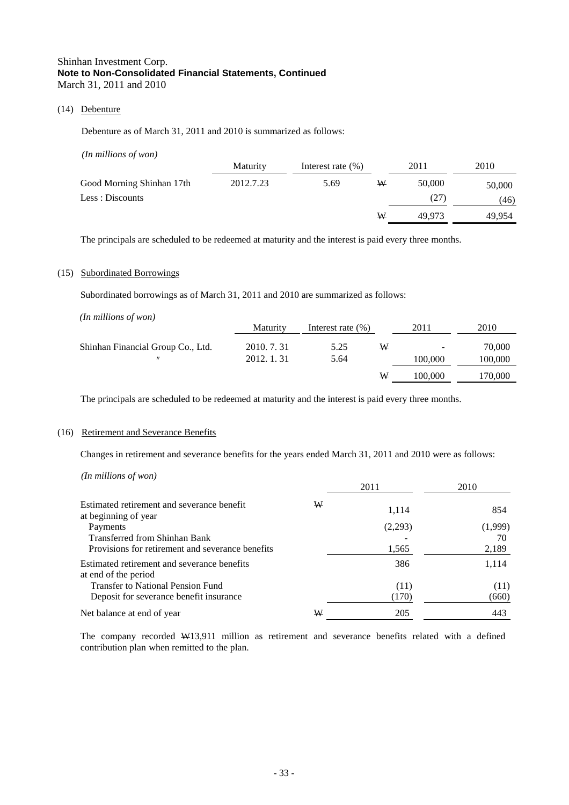## (14) Debenture

Debenture as of March 31, 2011 and 2010 is summarized as follows:

| $(In$ millions of won $)$ |                 |                       |   |        |        |
|---------------------------|-----------------|-----------------------|---|--------|--------|
|                           | <b>Maturity</b> | Interest rate $(\% )$ |   | 2011   | 2010   |
| Good Morning Shinhan 17th | 2012.7.23       | 5.69                  | ₩ | 50,000 | 50,000 |
| Less : Discounts          |                 |                       |   | (27)   | (46)   |
|                           |                 |                       | W | 49,973 | 49.954 |

The principals are scheduled to be redeemed at maturity and the interest is paid every three months.

#### (15) Subordinated Borrowings

Subordinated borrowings as of March 31, 2011 and 2010 are summarized as follows:

| $(In$ millions of won $)$         |                 |                       |   |                          |         |
|-----------------------------------|-----------------|-----------------------|---|--------------------------|---------|
|                                   | <b>Maturity</b> | Interest rate $(\% )$ |   | 2011                     | 2010    |
| Shinhan Financial Group Co., Ltd. | 2010. 7. 31     | 5.25                  | W | $\overline{\phantom{a}}$ | 70,000  |
| $^{\prime\prime}$                 | 2012. 1. 31     | 5.64                  |   | 100,000                  | 100,000 |
|                                   |                 |                       | ₩ | 100,000                  | 170,000 |
|                                   |                 |                       |   |                          |         |

The principals are scheduled to be redeemed at maturity and the interest is paid every three months.

#### (16) Retirement and Severance Benefits

Changes in retirement and severance benefits for the years ended March 31, 2011 and 2010 were as follows:

*(In millions of won)* 

|                                                                     |   | 2011    | 2010    |
|---------------------------------------------------------------------|---|---------|---------|
| Estimated retirement and severance benefit<br>at beginning of year  | W | 1,114   | 854     |
| Payments                                                            |   | (2,293) | (1,999) |
| <b>Transferred from Shinhan Bank</b>                                |   |         | 70      |
| Provisions for retirement and severance benefits                    |   | 1,565   | 2,189   |
| Estimated retirement and severance benefits<br>at end of the period |   | 386     | 1,114   |
| <b>Transfer to National Pension Fund</b>                            |   | (11)    | (11)    |
| Deposit for severance benefit insurance                             |   | (170)   | (660)   |
| Net balance at end of year                                          | W | 205     | 443     |

The company recorded W13,911 million as retirement and severance benefits related with a defined contribution plan when remitted to the plan.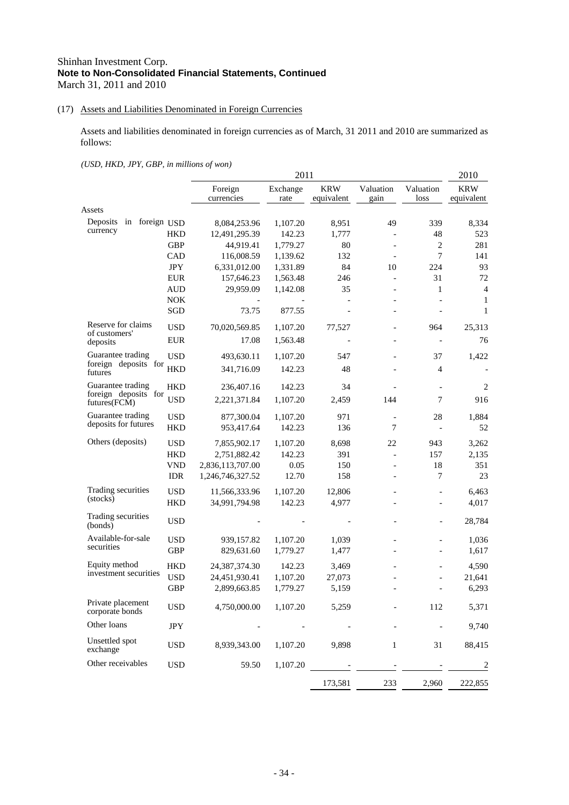## (17) Assets and Liabilities Denominated in Foreign Currencies

Assets and liabilities denominated in foreign currencies as of March, 31 2011 and 2010 are summarized as follows:

*(USD, HKD, JPY, GBP, in millions of won)* 

|                                      |            |                  | 2011     |                          | 2010                     |                          |                |
|--------------------------------------|------------|------------------|----------|--------------------------|--------------------------|--------------------------|----------------|
|                                      |            | Foreign          | Exchange | <b>KRW</b>               | Valuation                | Valuation                | <b>KRW</b>     |
|                                      |            | currencies       | rate     | equivalent               | gain                     | loss                     | equivalent     |
| Assets                               |            |                  |          |                          |                          |                          |                |
| in foreign USD<br>Deposits           |            | 8,084,253.96     | 1,107.20 | 8,951                    | 49                       | 339                      | 8,334          |
| currency                             | HKD        | 12,491,295.39    | 142.23   | 1,777                    | $\overline{\phantom{a}}$ | 48                       | 523            |
|                                      | <b>GBP</b> | 44,919.41        | 1,779.27 | 80                       | $\overline{\phantom{a}}$ | $\overline{c}$           | 281            |
|                                      | CAD        | 116,008.59       | 1,139.62 | 132                      |                          | $\tau$                   | 141            |
|                                      | <b>JPY</b> | 6,331,012.00     | 1,331.89 | 84                       | 10                       | 224                      | 93             |
|                                      | <b>EUR</b> | 157,646.23       | 1,563.48 | 246                      | $\overline{\phantom{a}}$ | 31                       | 72             |
|                                      | <b>AUD</b> | 29,959.09        | 1,142.08 | 35                       |                          | $\mathbf{1}$             | $\overline{4}$ |
|                                      | <b>NOK</b> |                  |          | $\overline{\phantom{0}}$ | $\overline{\phantom{a}}$ |                          | 1              |
|                                      | SGD        | 73.75            | 877.55   |                          | $\overline{\phantom{a}}$ | $\overline{a}$           | $\mathbf{1}$   |
| Reserve for claims<br>of customers'  | <b>USD</b> | 70,020,569.85    | 1,107.20 | 77,527                   |                          | 964                      | 25,313         |
| deposits                             | EUR        | 17.08            | 1,563.48 |                          |                          | $\overline{\phantom{a}}$ | 76             |
| Guarantee trading                    | <b>USD</b> | 493,630.11       | 1,107.20 | 547                      | $\overline{\phantom{a}}$ | 37                       | 1,422          |
| foreign deposits for<br>futures      | HKD        | 341,716.09       | 142.23   | 48                       |                          | $\overline{4}$           |                |
| Guarantee trading                    | HKD        | 236,407.16       | 142.23   | 34                       |                          |                          | 2              |
| foreign deposits for<br>futures(FCM) | USD        | 2,221,371.84     | 1,107.20 | 2,459                    | 144                      | 7                        | 916            |
| Guarantee trading                    | <b>USD</b> | 877,300.04       | 1,107.20 | 971                      | $\overline{\phantom{a}}$ | 28                       | 1,884          |
| deposits for futures                 | <b>HKD</b> | 953,417.64       | 142.23   | 136                      | 7                        |                          | 52             |
| Others (deposits)                    | <b>USD</b> | 7,855,902.17     | 1,107.20 | 8,698                    | 22                       | 943                      | 3,262          |
|                                      | <b>HKD</b> | 2,751,882.42     | 142.23   | 391                      | $\overline{\phantom{a}}$ | 157                      | 2,135          |
|                                      | <b>VND</b> | 2,836,113,707.00 | 0.05     | 150                      | $\blacksquare$           | 18                       | 351            |
|                                      | <b>IDR</b> | 1,246,746,327.52 | 12.70    | 158                      |                          | $\overline{7}$           | 23             |
| Trading securities                   | <b>USD</b> | 11,566,333.96    | 1,107.20 | 12,806                   | $\overline{\phantom{a}}$ | $\overline{a}$           | 6,463          |
| (stocks)                             | <b>HKD</b> | 34,991,794.98    | 142.23   | 4,977                    |                          | $\overline{a}$           | 4,017          |
| Trading securities<br>(bonds)        | <b>USD</b> |                  |          |                          |                          | $\overline{a}$           | 28,784         |
| Available-for-sale                   | <b>USD</b> | 939,157.82       | 1,107.20 | 1,039                    |                          |                          | 1,036          |
| securities                           | <b>GBP</b> | 829,631.60       | 1,779.27 | 1,477                    |                          |                          | 1,617          |
| Equity method                        | HKD        | 24,387,374.30    | 142.23   | 3,469                    |                          |                          | 4,590          |
| investment securities                | <b>USD</b> | 24,451,930.41    | 1,107.20 | 27,073                   |                          |                          | 21,641         |
|                                      | <b>GBP</b> | 2,899,663.85     | 1,779.27 | 5,159                    |                          | L,                       | 6,293          |
| Private placement<br>corporate bonds | <b>USD</b> | 4,750,000.00     | 1,107.20 | 5,259                    |                          | 112                      | 5,371          |
| Other loans                          | JPY        |                  |          |                          |                          |                          | 9,740          |
| Unsettled spot<br>exchange           | <b>USD</b> | 8,939,343.00     | 1,107.20 | 9,898                    | 1                        | 31                       | 88,415         |
| Other receivables                    | <b>USD</b> | 59.50            | 1,107.20 |                          |                          |                          | $\overline{2}$ |
|                                      |            |                  |          | 173,581                  | 233                      | 2,960                    | 222,855        |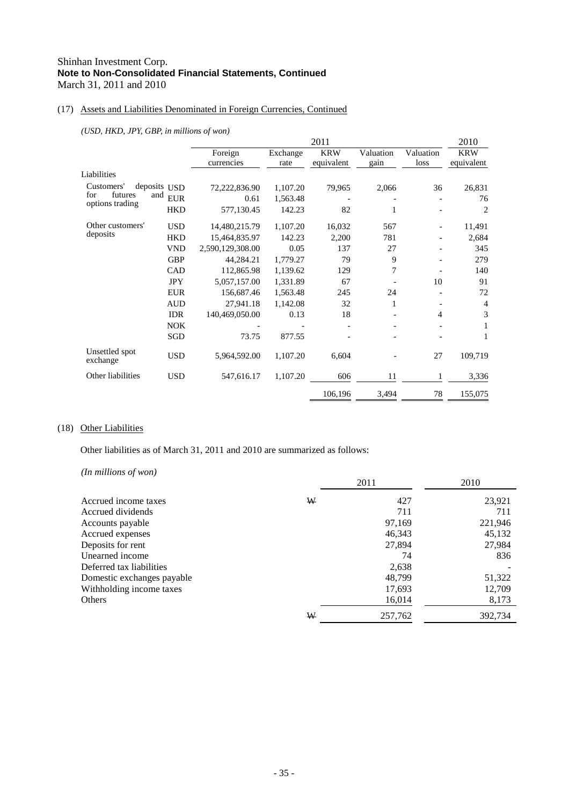## (17) Assets and Liabilities Denominated in Foreign Currencies, Continued

*(USD, HKD, JPY, GBP, in millions of won)*

|                            |                   |                  |          | 2011       |           |           | 2010           |
|----------------------------|-------------------|------------------|----------|------------|-----------|-----------|----------------|
|                            |                   | Foreign          | Exchange | <b>KRW</b> | Valuation | Valuation | <b>KRW</b>     |
|                            |                   | currencies       | rate     | equivalent | gain      | loss      | equivalent     |
| Liabilities                |                   |                  |          |            |           |           |                |
| Customers'                 | deposits USD      | 72,222,836.90    | 1,107.20 | 79,965     | 2,066     | 36        | 26,831         |
| futures<br>for             | and<br><b>EUR</b> | 0.61             | 1,563.48 |            |           |           | 76             |
| options trading            | <b>HKD</b>        | 577,130.45       | 142.23   | 82         | 1         |           | $\overline{2}$ |
| Other customers'           | <b>USD</b>        | 14,480,215.79    | 1,107.20 | 16,032     | 567       |           | 11,491         |
| deposits                   | <b>HKD</b>        | 15,464,835.97    | 142.23   | 2,200      | 781       |           | 2,684          |
|                            | <b>VND</b>        | 2,590,129,308.00 | 0.05     | 137        | 27        |           | 345            |
|                            | <b>GBP</b>        | 44,284.21        | 1,779.27 | 79         | 9         |           | 279            |
|                            | CAD               | 112,865.98       | 1,139.62 | 129        | 7         |           | 140            |
|                            | <b>JPY</b>        | 5,057,157.00     | 1,331.89 | 67         |           | 10        | 91             |
|                            | <b>EUR</b>        | 156,687.46       | 1,563.48 | 245        | 24        |           | 72             |
|                            | <b>AUD</b>        | 27,941.18        | 1,142.08 | 32         | 1         |           | 4              |
|                            | <b>IDR</b>        | 140,469,050.00   | 0.13     | 18         |           | 4         | 3              |
|                            | <b>NOK</b>        |                  |          |            |           |           | 1              |
|                            | SGD               | 73.75            | 877.55   |            |           |           | 1              |
| Unsettled spot<br>exchange | <b>USD</b>        | 5,964,592.00     | 1,107.20 | 6,604      |           | 27        | 109,719        |
| Other liabilities          | <b>USD</b>        | 547,616.17       | 1,107.20 | 606        | 11        | 1         | 3,336          |
|                            |                   |                  |          | 106,196    | 3,494     | 78        | 155,075        |

## (18) Other Liabilities

Other liabilities as of March 31, 2011 and 2010 are summarized as follows:

*(In millions of won)* 

|                            |   | 2011    | 2010    |
|----------------------------|---|---------|---------|
| Accrued income taxes       | W | 427     | 23,921  |
| Accrued dividends          |   | 711     | 711     |
| Accounts payable           |   | 97,169  | 221,946 |
| Accrued expenses           |   | 46,343  | 45,132  |
| Deposits for rent          |   | 27,894  | 27,984  |
| Unearned income            |   | 74      | 836     |
| Deferred tax liabilities   |   | 2,638   |         |
| Domestic exchanges payable |   | 48.799  | 51,322  |
| Withholding income taxes   |   | 17,693  | 12,709  |
| Others                     |   | 16,014  | 8,173   |
|                            | W | 257,762 | 392,734 |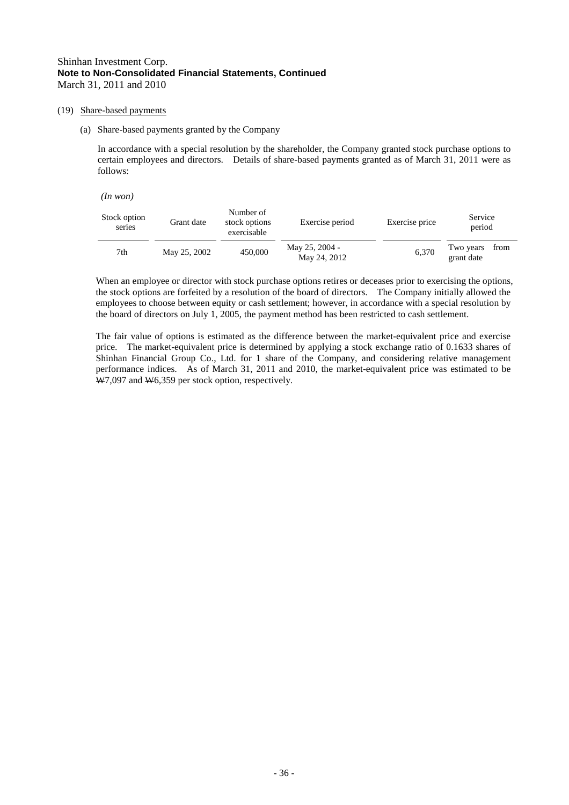#### (19) Share-based payments

(a) Share-based payments granted by the Company

In accordance with a special resolution by the shareholder, the Company granted stock purchase options to certain employees and directors. Details of share-based payments granted as of March 31, 2011 were as follows:

*(In won)* 

| Stock option<br>series | Grant date   | Number of<br>stock options<br>exercisable | Exercise period                | Exercise price | Service<br>period               |  |
|------------------------|--------------|-------------------------------------------|--------------------------------|----------------|---------------------------------|--|
| 7th                    | May 25, 2002 | 450,000                                   | May 25, 2004 -<br>May 24, 2012 | 6,370          | from<br>Two years<br>grant date |  |

When an employee or director with stock purchase options retires or deceases prior to exercising the options, the stock options are forfeited by a resolution of the board of directors. The Company initially allowed the employees to choose between equity or cash settlement; however, in accordance with a special resolution by the board of directors on July 1, 2005, the payment method has been restricted to cash settlement.

The fair value of options is estimated as the difference between the market-equivalent price and exercise price. The market-equivalent price is determined by applying a stock exchange ratio of 0.1633 shares of Shinhan Financial Group Co., Ltd. for 1 share of the Company, and considering relative management performance indices. As of March 31, 2011 and 2010, the market-equivalent price was estimated to be W7,097 and W6,359 per stock option, respectively.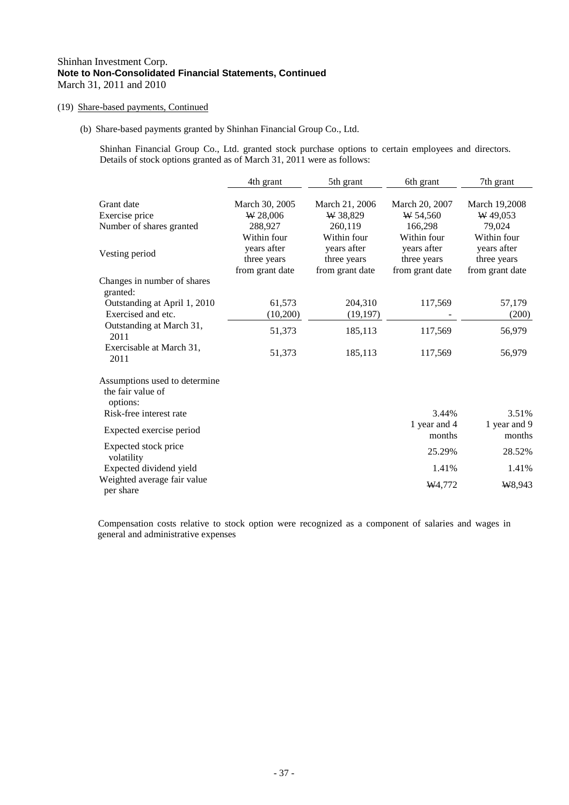## (19) Share-based payments, Continued

(b) Share-based payments granted by Shinhan Financial Group Co., Ltd.

Shinhan Financial Group Co., Ltd. granted stock purchase options to certain employees and directors. Details of stock options granted as of March 31, 2011 were as follows:

|                                                                                           | 4th grant                                            | 5th grant                                            | 6th grant                                            | 7th grant                                          |
|-------------------------------------------------------------------------------------------|------------------------------------------------------|------------------------------------------------------|------------------------------------------------------|----------------------------------------------------|
| Grant date<br>Exercise price<br>Number of shares granted                                  | March 30, 2005<br>W 28,006<br>288,927<br>Within four | March 21, 2006<br>W 38,829<br>260,119<br>Within four | March 20, 2007<br>W 54,560<br>166,298<br>Within four | March 19,2008<br>W 49.053<br>79,024<br>Within four |
| Vesting period                                                                            | years after<br>three years<br>from grant date        | years after<br>three years<br>from grant date        | years after<br>three years<br>from grant date        | years after<br>three years<br>from grant date      |
| Changes in number of shares                                                               |                                                      |                                                      |                                                      |                                                    |
| granted:<br>Outstanding at April 1, 2010<br>Exercised and etc.                            | 61,573<br>(10,200)                                   | 204,310<br>(19, 197)                                 | 117,569                                              | 57,179<br>(200)                                    |
| Outstanding at March 31,<br>2011                                                          | 51,373                                               | 185,113                                              | 117,569                                              | 56,979                                             |
| Exercisable at March 31,<br>2011                                                          | 51,373                                               | 185,113                                              | 117,569                                              | 56,979                                             |
| Assumptions used to determine<br>the fair value of<br>options:<br>Risk-free interest rate |                                                      |                                                      | 3.44%                                                | 3.51%                                              |
| Expected exercise period                                                                  |                                                      |                                                      | 1 year and 4<br>months                               | 1 year and 9<br>months                             |
| Expected stock price<br>volatility                                                        |                                                      |                                                      | 25.29%                                               | 28.52%                                             |
| Expected dividend yield                                                                   |                                                      |                                                      | 1.41%                                                | 1.41%                                              |
| Weighted average fair value<br>per share                                                  |                                                      |                                                      | W <sub>4</sub> ,772                                  | W8,943                                             |

Compensation costs relative to stock option were recognized as a component of salaries and wages in general and administrative expenses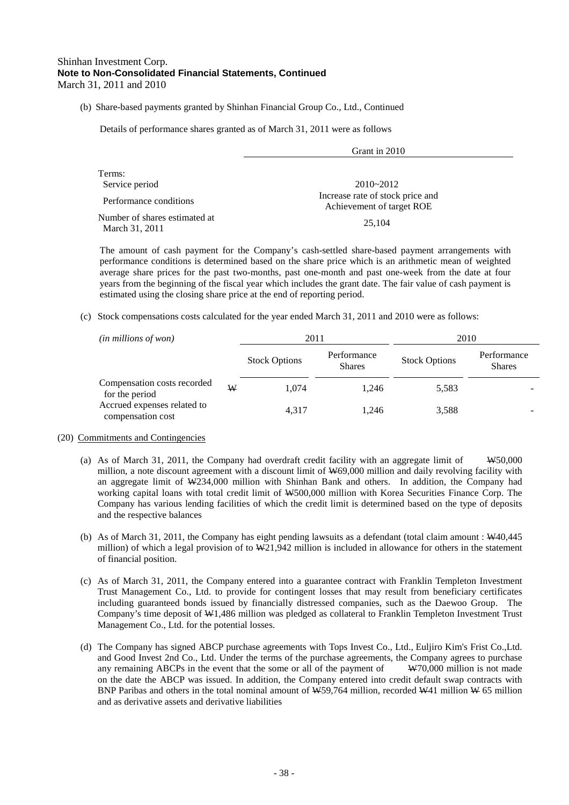(b) Share-based payments granted by Shinhan Financial Group Co., Ltd., Continued

Details of performance shares granted as of March 31, 2011 were as follows

|                                                 | Grant in 2010                                                 |  |
|-------------------------------------------------|---------------------------------------------------------------|--|
| Terms:                                          |                                                               |  |
| Service period                                  | $2010 - 2012$                                                 |  |
| Performance conditions                          | Increase rate of stock price and<br>Achievement of target ROE |  |
| Number of shares estimated at<br>March 31, 2011 | 25,104                                                        |  |

The amount of cash payment for the Company's cash-settled share-based payment arrangements with performance conditions is determined based on the share price which is an arithmetic mean of weighted average share prices for the past two-months, past one-month and past one-week from the date at four years from the beginning of the fiscal year which includes the grant date. The fair value of cash payment is estimated using the closing share price at the end of reporting period.

(c) Stock compensations costs calculated for the year ended March 31, 2011 and 2010 were as follows:

| $(in\, millions\, of\, won)$                     |   | 2011                 |                              | 2010                 |                              |
|--------------------------------------------------|---|----------------------|------------------------------|----------------------|------------------------------|
|                                                  |   | <b>Stock Options</b> | Performance<br><b>Shares</b> | <b>Stock Options</b> | Performance<br><b>Shares</b> |
| Compensation costs recorded<br>for the period    | W | 1.074                | 1.246                        | 5,583                |                              |
| Accrued expenses related to<br>compensation cost |   | 4,317                | 1.246                        | 3,588                |                              |

#### (20) Commitments and Contingencies

- (a) As of March 31, 2011, the Company had overdraft credit facility with an aggregate limit of W50,000 million, a note discount agreement with a discount limit of W69,000 million and daily revolving facility with an aggregate limit of W234,000 million with Shinhan Bank and others. In addition, the Company had working capital loans with total credit limit of W500,000 million with Korea Securities Finance Corp. The Company has various lending facilities of which the credit limit is determined based on the type of deposits and the respective balances
- (b) As of March 31, 2011, the Company has eight pending lawsuits as a defendant (total claim amount : W40,445 million) of which a legal provision of to W21,942 million is included in allowance for others in the statement of financial position.
- (c) As of March 31, 2011, the Company entered into a guarantee contract with Franklin Templeton Investment Trust Management Co., Ltd. to provide for contingent losses that may result from beneficiary certificates including guaranteed bonds issued by financially distressed companies, such as the Daewoo Group. The Company's time deposit of W1,486 million was pledged as collateral to Franklin Templeton Investment Trust Management Co., Ltd. for the potential losses.
- (d) The Company has signed ABCP purchase agreements with Tops Invest Co., Ltd., Euljiro Kim's Frist Co.,Ltd. and Good Invest 2nd Co., Ltd. Under the terms of the purchase agreements, the Company agrees to purchase any remaining ABCPs in the event that the some or all of the payment of  $W70,000$  million is not made on the date the ABCP was issued. In addition, the Company entered into credit default swap contracts with BNP Paribas and others in the total nominal amount of W59,764 million, recorded W41 million W 65 million and as derivative assets and derivative liabilities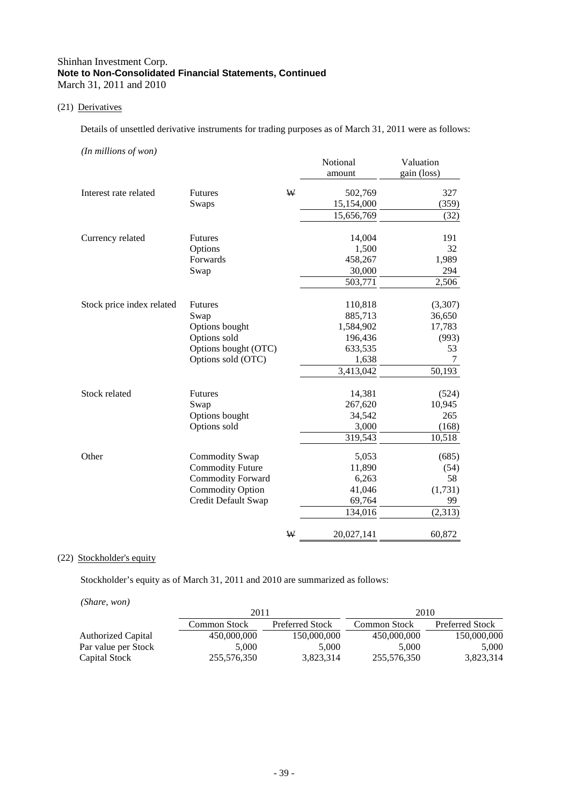## (21) Derivatives

Details of unsettled derivative instruments for trading purposes as of March 31, 2011 were as follows:

*(In millions of won)*

|                           |                          |   | Notional   | Valuation   |
|---------------------------|--------------------------|---|------------|-------------|
|                           |                          |   | amount     | gain (loss) |
| Interest rate related     | <b>Futures</b>           | W | 502,769    | 327         |
|                           | Swaps                    |   | 15,154,000 | (359)       |
|                           |                          |   | 15,656,769 | (32)        |
| Currency related          | <b>Futures</b>           |   | 14,004     | 191         |
|                           | Options                  |   | 1,500      | 32          |
|                           | Forwards                 |   | 458,267    | 1,989       |
|                           | Swap                     |   | 30,000     | 294         |
|                           |                          |   | 503,771    | 2,506       |
| Stock price index related | <b>Futures</b>           |   | 110,818    | (3,307)     |
|                           | Swap                     |   | 885,713    | 36,650      |
|                           | Options bought           |   | 1,584,902  | 17,783      |
|                           | Options sold             |   | 196,436    | (993)       |
|                           | Options bought (OTC)     |   | 633,535    | 53          |
|                           | Options sold (OTC)       |   | 1,638      | 7           |
|                           |                          |   | 3,413,042  | 50,193      |
| Stock related             | <b>Futures</b>           |   | 14,381     | (524)       |
|                           | Swap                     |   | 267,620    | 10,945      |
|                           | Options bought           |   | 34,542     | 265         |
|                           | Options sold             |   | 3,000      | (168)       |
|                           |                          |   | 319,543    | 10,518      |
| Other                     | Commodity Swap           |   | 5,053      | (685)       |
|                           | <b>Commodity Future</b>  |   | 11,890     | (54)        |
|                           | <b>Commodity Forward</b> |   | 6,263      | 58          |
|                           | <b>Commodity Option</b>  |   | 41,046     | (1,731)     |
|                           | Credit Default Swap      |   | 69,764     | 99          |
|                           |                          |   | 134,016    | (2,313)     |
|                           |                          | ₩ | 20,027,141 | 60,872      |

## (22) Stockholder's equity

Stockholder's equity as of March 31, 2011 and 2010 are summarized as follows:

*(Share, won)*

|                     | 2011         |                 | 2010         |                        |
|---------------------|--------------|-----------------|--------------|------------------------|
|                     | Common Stock | Preferred Stock | Common Stock | <b>Preferred Stock</b> |
| Authorized Capital  | 450,000,000  | 150,000,000     | 450,000,000  | 150,000,000            |
| Par value per Stock | 5.000        | 5.000           | 5.000        | 5,000                  |
| Capital Stock       | 255,576,350  | 3.823.314       | 255,576,350  | 3,823,314              |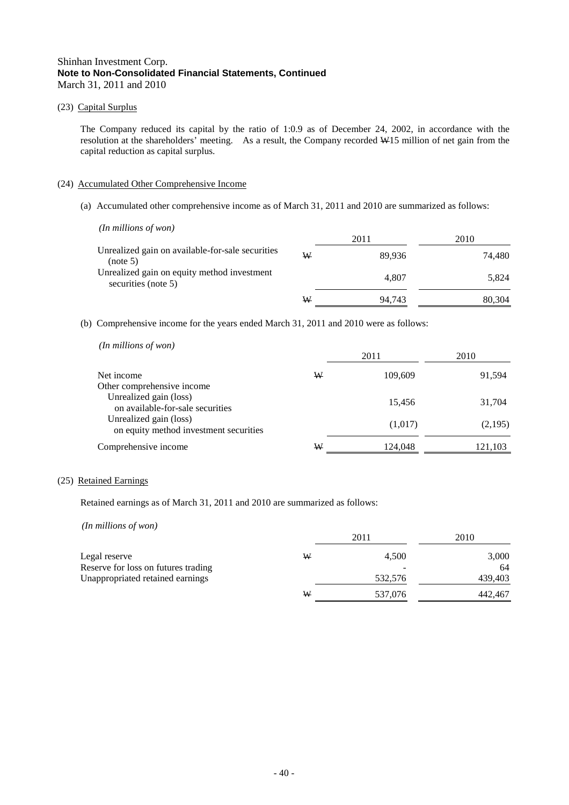## (23) Capital Surplus

The Company reduced its capital by the ratio of 1:0.9 as of December 24, 2002, in accordance with the resolution at the shareholders' meeting. As a result, the Company recorded W15 million of net gain from the capital reduction as capital surplus.

## (24) Accumulated Other Comprehensive Income

(a) Accumulated other comprehensive income as of March 31, 2011 and 2010 are summarized as follows:

| $(In$ millions of won $)$                                          |   | 2011   | 2010   |
|--------------------------------------------------------------------|---|--------|--------|
| Unrealized gain on available-for-sale securities<br>(note 5)       | W | 89.936 | 74.480 |
| Unrealized gain on equity method investment<br>securities (note 5) |   | 4.807  | 5.824  |
|                                                                    | W | 94.743 | 80.304 |

(b) Comprehensive income for the years ended March 31, 2011 and 2010 were as follows:

*(In millions of won)* 

|                                                                  |   | 2011    | 2010    |
|------------------------------------------------------------------|---|---------|---------|
| Net income<br>Other comprehensive income                         | W | 109,609 | 91,594  |
| Unrealized gain (loss)<br>on available-for-sale securities       |   | 15.456  | 31,704  |
| Unrealized gain (loss)<br>on equity method investment securities |   | (1,017) | (2,195) |
| Comprehensive income                                             | ₩ | 124,048 | 121,103 |

#### (25) Retained Earnings

Retained earnings as of March 31, 2011 and 2010 are summarized as follows:

*(In millions of won)* 

|                                     |   | 2011    | 2010    |
|-------------------------------------|---|---------|---------|
| Legal reserve                       | W | 4.500   | 3,000   |
| Reserve for loss on futures trading |   | -       | 64      |
| Unappropriated retained earnings    |   | 532,576 | 439,403 |
|                                     | W | 537,076 | 442,467 |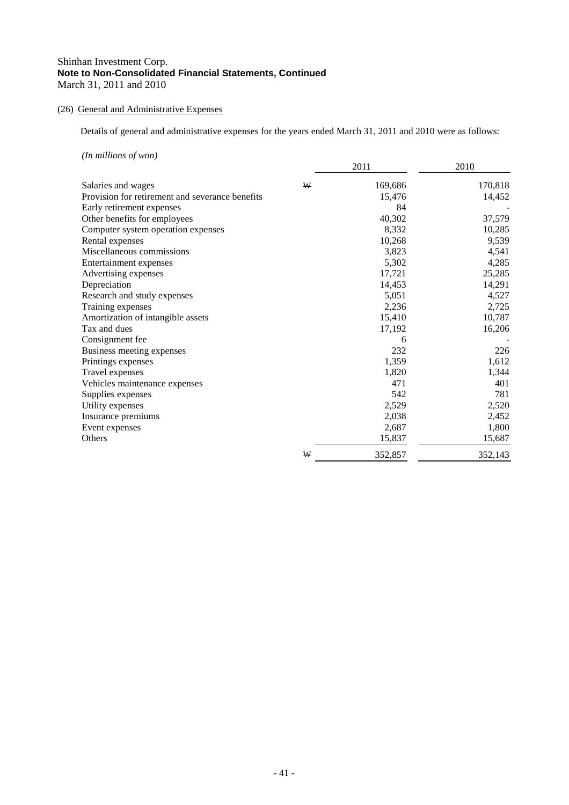## (26) General and Administrative Expenses

Details of general and administrative expenses for the years ended March 31, 2011 and 2010 were as follows:

*(In millions of won)*

|                                                 |   | 2011    | 2010    |
|-------------------------------------------------|---|---------|---------|
| Salaries and wages                              | W | 169,686 | 170,818 |
| Provision for retirement and severance benefits |   | 15,476  | 14,452  |
| Early retirement expenses                       |   | 84      |         |
| Other benefits for employees                    |   | 40,302  | 37,579  |
| Computer system operation expenses              |   | 8,332   | 10,285  |
| Rental expenses                                 |   | 10,268  | 9,539   |
| Miscellaneous commissions                       |   | 3,823   | 4,541   |
| Entertainment expenses                          |   | 5,302   | 4,285   |
| Advertising expenses                            |   | 17,721  | 25,285  |
| Depreciation                                    |   | 14,453  | 14,291  |
| Research and study expenses                     |   | 5,051   | 4,527   |
| Training expenses                               |   | 2,236   | 2,725   |
| Amortization of intangible assets               |   | 15,410  | 10,787  |
| Tax and dues                                    |   | 17,192  | 16,206  |
| Consignment fee                                 |   | 6       |         |
| Business meeting expenses                       |   | 232     | 226     |
| Printings expenses                              |   | 1,359   | 1,612   |
| Travel expenses                                 |   | 1,820   | 1,344   |
| Vehicles maintenance expenses                   |   | 471     | 401     |
| Supplies expenses                               |   | 542     | 781     |
| Utility expenses                                |   | 2,529   | 2,520   |
| Insurance premiums                              |   | 2,038   | 2,452   |
| Event expenses                                  |   | 2,687   | 1,800   |
| Others                                          |   | 15,837  | 15,687  |
|                                                 | W | 352,857 | 352,143 |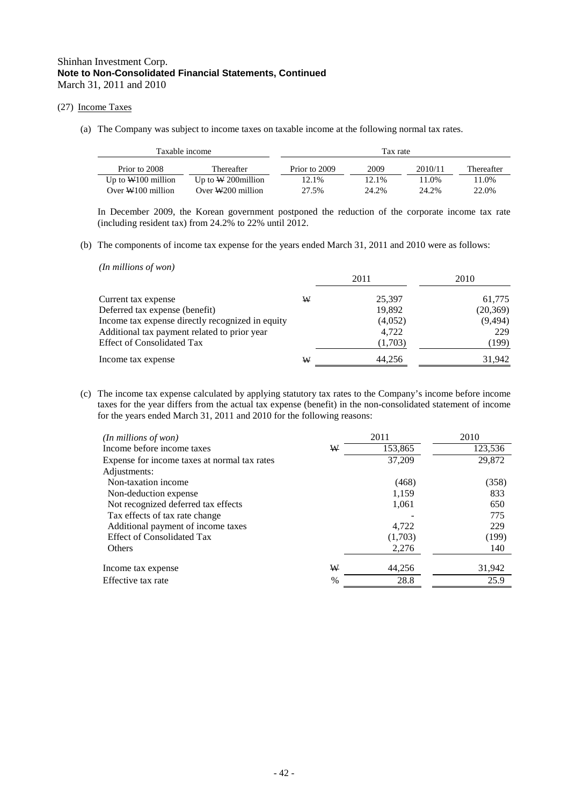## (27) Income Taxes

(a) The Company was subject to income taxes on taxable income at the following normal tax rates.

| Taxable income       |                       |               | Tax rate |         |            |
|----------------------|-----------------------|---------------|----------|---------|------------|
| Prior to 2008        | Thereafter            | Prior to 2009 | 2009     | 2010/11 | Thereafter |
| Up to $W100$ million | Up to $W$ 200 million | 12.1%         | 12.1%    | 1.0%    | 11.0%      |
| Over $W100$ million  | Over $W200$ million   | 27.5%         | 24.2%    | 24.2%   | 22.0%      |

In December 2009, the Korean government postponed the reduction of the corporate income tax rate (including resident tax) from 24.2% to 22% until 2012.

(b) The components of income tax expense for the years ended March 31, 2011 and 2010 were as follows:

| $(In$ millions of won $)$                        |   |         |           |
|--------------------------------------------------|---|---------|-----------|
|                                                  |   | 2011    | 2010      |
| Current tax expense                              | W | 25,397  | 61,775    |
| Deferred tax expense (benefit)                   |   | 19,892  | (20, 369) |
| Income tax expense directly recognized in equity |   | (4,052) | (9, 494)  |
| Additional tax payment related to prior year     |   | 4,722   | 229       |
| <b>Effect of Consolidated Tax</b>                |   | (1,703) | (199)     |
| Income tax expense                               | W | 44,256  | 31,942    |

(c) The income tax expense calculated by applying statutory tax rates to the Company's income before income taxes for the year differs from the actual tax expense (benefit) in the non-consolidated statement of income for the years ended March 31, 2011 and 2010 for the following reasons:

| $(In$ millions of won $)$                    | 2011    | 2010    |
|----------------------------------------------|---------|---------|
| Income before income taxes<br>W              | 153,865 | 123,536 |
| Expense for income taxes at normal tax rates | 37.209  | 29,872  |
| Adjustments:                                 |         |         |
| Non-taxation income                          | (468)   | (358)   |
| Non-deduction expense                        | 1,159   | 833     |
| Not recognized deferred tax effects          | 1,061   | 650     |
| Tax effects of tax rate change               |         | 775     |
| Additional payment of income taxes           | 4.722   | 229     |
| <b>Effect of Consolidated Tax</b>            | (1,703) | (199)   |
| <b>Others</b>                                | 2,276   | 140     |
| W<br>Income tax expense                      | 44,256  | 31,942  |
| $\%$<br>Effective tax rate                   | 28.8    | 25.9    |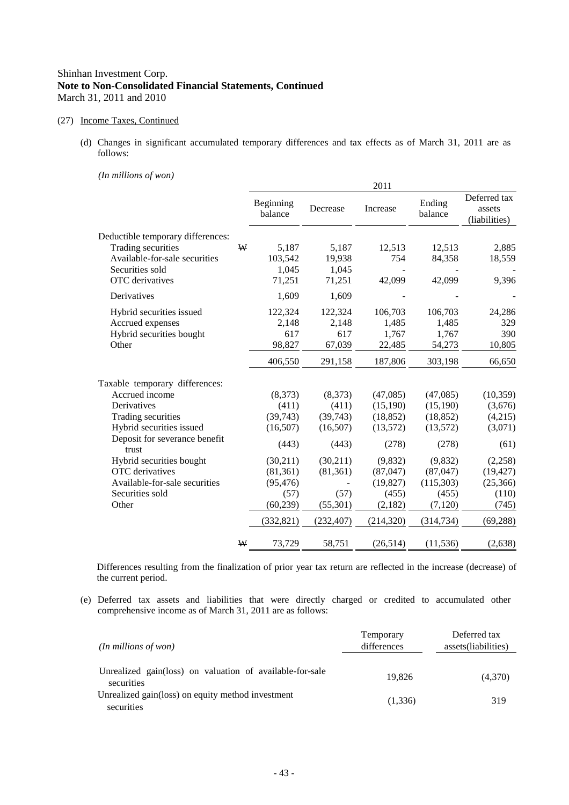#### (27) Income Taxes, Continued

(d) Changes in significant accumulated temporary differences and tax effects as of March 31, 2011 are as follows:

## *(In millions of won)*

| $\mu$ . There is the contract of $\mu$ |   |                      |            | 2011       |                   |                                         |
|----------------------------------------|---|----------------------|------------|------------|-------------------|-----------------------------------------|
|                                        |   | Beginning<br>balance | Decrease   | Increase   | Ending<br>balance | Deferred tax<br>assets<br>(liabilities) |
| Deductible temporary differences:      |   |                      |            |            |                   |                                         |
| Trading securities                     | ₩ | 5,187                | 5,187      | 12,513     | 12,513            | 2,885                                   |
| Available-for-sale securities          |   | 103,542              | 19,938     | 754        | 84,358            | 18,559                                  |
| Securities sold                        |   | 1,045                | 1,045      |            |                   |                                         |
| OTC derivatives                        |   | 71,251               | 71,251     | 42,099     | 42,099            | 9,396                                   |
| Derivatives                            |   | 1,609                | 1,609      |            |                   |                                         |
| Hybrid securities issued               |   | 122,324              | 122,324    | 106,703    | 106,703           | 24,286                                  |
| Accrued expenses                       |   | 2,148                | 2,148      | 1,485      | 1,485             | 329                                     |
| Hybrid securities bought               |   | 617                  | 617        | 1,767      | 1,767             | 390                                     |
| Other                                  |   | 98,827               | 67,039     | 22,485     | 54,273            | 10,805                                  |
|                                        |   | 406,550              | 291,158    | 187,806    | 303,198           | 66,650                                  |
| Taxable temporary differences:         |   |                      |            |            |                   |                                         |
| Accrued income                         |   | (8,373)              | (8,373)    | (47,085)   | (47,085)          | (10, 359)                               |
| Derivatives                            |   | (411)                | (411)      | (15,190)   | (15, 190)         | (3,676)                                 |
| Trading securities                     |   | (39,743)             | (39, 743)  | (18, 852)  | (18, 852)         | (4,215)                                 |
| Hybrid securities issued               |   | (16,507)             | (16,507)   | (13,572)   | (13,572)          | (3,071)                                 |
| Deposit for severance benefit<br>trust |   | (443)                | (443)      | (278)      | (278)             | (61)                                    |
| Hybrid securities bought               |   | (30,211)             | (30,211)   | (9,832)    | (9,832)           | (2,258)                                 |
| OTC derivatives                        |   | (81, 361)            | (81, 361)  | (87,047)   | (87,047)          | (19, 427)                               |
| Available-for-sale securities          |   | (95, 476)            |            | (19, 827)  | (115,303)         | (25,366)                                |
| Securities sold                        |   | (57)                 | (57)       | (455)      | (455)             | (110)                                   |
| Other                                  |   | (60, 239)            | (55, 301)  | (2,182)    | (7, 120)          | (745)                                   |
|                                        |   | (332, 821)           | (232, 407) | (214, 320) | (314, 734)        | (69, 288)                               |
|                                        | ₩ | 73,729               | 58,751     | (26,514)   | (11, 536)         | (2,638)                                 |

Differences resulting from the finalization of prior year tax return are reflected in the increase (decrease) of the current period.

(e) Deferred tax assets and liabilities that were directly charged or credited to accumulated other comprehensive income as of March 31, 2011 are as follows:

| $(In$ millions of won $)$                                              | Temporary<br>differences | Deferred tax<br>assets(liabilities) |
|------------------------------------------------------------------------|--------------------------|-------------------------------------|
| Unrealized gain(loss) on valuation of available-for-sale<br>securities | 19.826                   | (4,370)                             |
| Unrealized gain(loss) on equity method investment<br>securities        | (1,336)                  | 319                                 |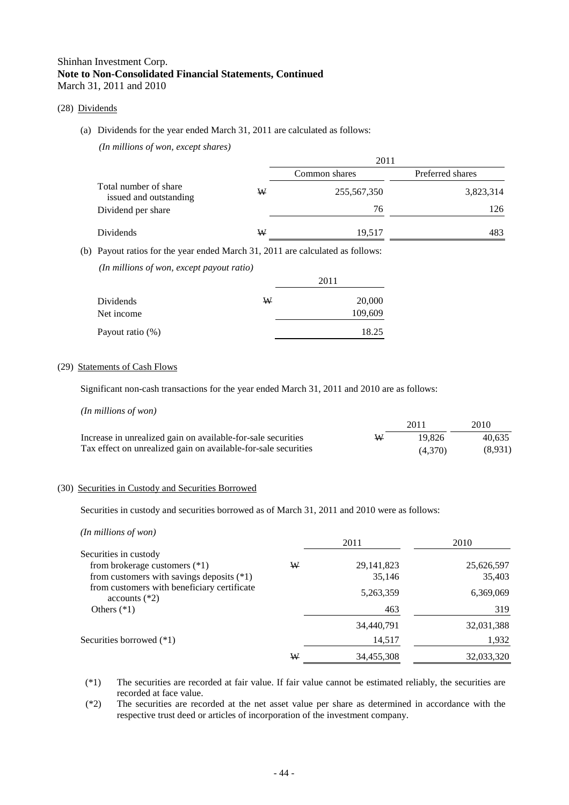#### (28) Dividends

#### (a) Dividends for the year ended March 31, 2011 are calculated as follows:

*(In millions of won, except shares)*

|                                                 |   | 2011          |                  |  |
|-------------------------------------------------|---|---------------|------------------|--|
|                                                 |   | Common shares | Preferred shares |  |
| Total number of share<br>issued and outstanding | ₩ | 255,567,350   | 3,823,314        |  |
| Dividend per share                              |   | 76            | 126              |  |
| Dividends                                       | W | 19,517        | 483              |  |

(b) Payout ratios for the year ended March 31, 2011 are calculated as follows:

*(In millions of won, except payout ratio)*

|                  |   | 2011    |
|------------------|---|---------|
| Dividends        | W | 20,000  |
| Net income       |   | 109,609 |
| Payout ratio (%) |   | 18.25   |

#### (29) Statements of Cash Flows

Significant non-cash transactions for the year ended March 31, 2011 and 2010 are as follows:

*(In millions of won)*

|                                                                |   | 2011    | 2010    |
|----------------------------------------------------------------|---|---------|---------|
| Increase in unrealized gain on available-for-sale securities   | W | 19.826  | 40.635  |
| Tax effect on unrealized gain on available-for-sale securities |   | (4.370) | (8,931) |

#### (30) Securities in Custody and Securities Borrowed

Securities in custody and securities borrowed as of March 31, 2011 and 2010 were as follows:

| (In millions of won)                                           |   |              |            |
|----------------------------------------------------------------|---|--------------|------------|
|                                                                |   | 2011         | 2010       |
| Securities in custody                                          |   |              |            |
| from brokerage customers $(*1)$                                | W | 29, 141, 823 | 25,626,597 |
| from customers with savings deposits $(*1)$                    |   | 35,146       | 35,403     |
| from customers with beneficiary certificate<br>$accounts$ (*2) |   | 5,263,359    | 6,369,069  |
| Others $(*1)$                                                  |   | 463          | 319        |
|                                                                |   | 34,440,791   | 32,031,388 |
| Securities borrowed $(*1)$                                     |   | 14,517       | 1,932      |
|                                                                | W | 34,455,308   | 32,033,320 |
|                                                                |   |              |            |

- (\*1) The securities are recorded at fair value. If fair value cannot be estimated reliably, the securities are recorded at face value.
- (\*2) The securities are recorded at the net asset value per share as determined in accordance with the respective trust deed or articles of incorporation of the investment company.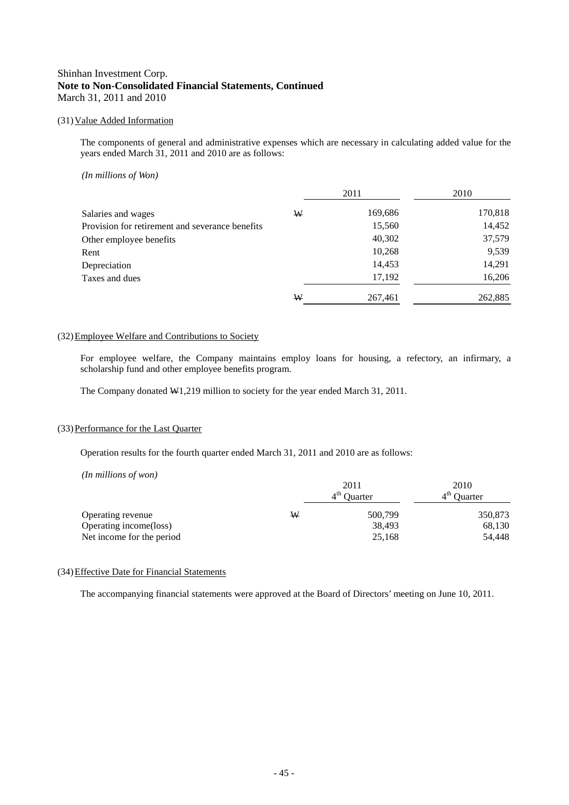## (31)Value Added Information

The components of general and administrative expenses which are necessary in calculating added value for the years ended March 31, 2011 and 2010 are as follows:

#### *(In millions of Won)*

|                                                 |   | 2011    | 2010    |
|-------------------------------------------------|---|---------|---------|
| Salaries and wages                              | W | 169,686 | 170,818 |
| Provision for retirement and severance benefits |   | 15,560  | 14,452  |
| Other employee benefits                         |   | 40,302  | 37,579  |
| Rent                                            |   | 10,268  | 9,539   |
| Depreciation                                    |   | 14,453  | 14,291  |
| Taxes and dues                                  |   | 17,192  | 16,206  |
|                                                 | W | 267,461 | 262,885 |

#### (32)Employee Welfare and Contributions to Society

For employee welfare, the Company maintains employ loans for housing, a refectory, an infirmary, a scholarship fund and other employee benefits program.

The Company donated W1,219 million to society for the year ended March 31, 2011.

#### (33)Performance for the Last Quarter

Operation results for the fourth quarter ended March 31, 2011 and 2010 are as follows:

*(In millions of won)*

|                           |   | 2011          | 2010          |
|---------------------------|---|---------------|---------------|
|                           |   | $4th$ Quarter | $4th$ Quarter |
| Operating revenue         | W | 500,799       | 350,873       |
| Operating income(loss)    |   | 38,493        | 68,130        |
| Net income for the period |   | 25.168        | 54,448        |

#### (34)Effective Date for Financial Statements

The accompanying financial statements were approved at the Board of Directors' meeting on June 10, 2011.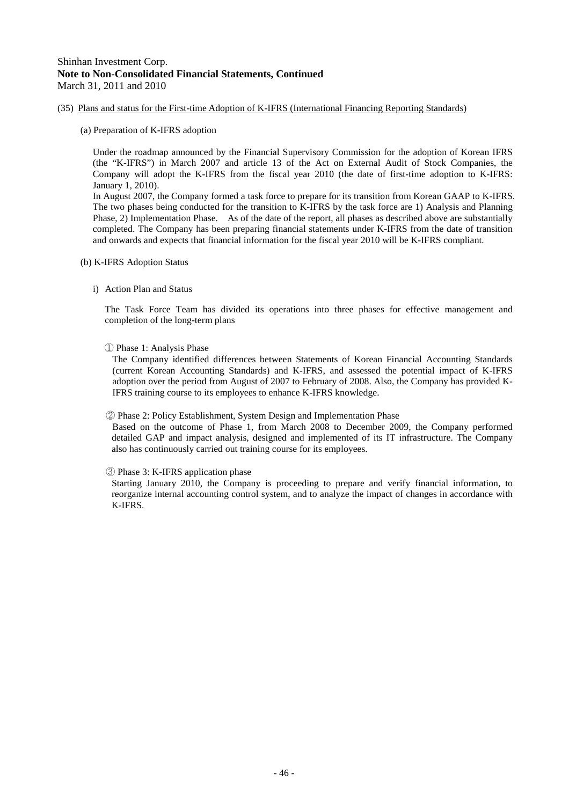## (35) Plans and status for the First-time Adoption of K-IFRS (International Financing Reporting Standards)

(a) Preparation of K-IFRS adoption

Under the roadmap announced by the Financial Supervisory Commission for the adoption of Korean IFRS (the "K-IFRS") in March 2007 and article 13 of the Act on External Audit of Stock Companies, the Company will adopt the K-IFRS from the fiscal year 2010 (the date of first-time adoption to K-IFRS: January 1, 2010).

In August 2007, the Company formed a task force to prepare for its transition from Korean GAAP to K-IFRS. The two phases being conducted for the transition to K-IFRS by the task force are 1) Analysis and Planning Phase, 2) Implementation Phase. As of the date of the report, all phases as described above are substantially completed. The Company has been preparing financial statements under K-IFRS from the date of transition and onwards and expects that financial information for the fiscal year 2010 will be K-IFRS compliant.

- (b) K-IFRS Adoption Status
	- i) Action Plan and Status

The Task Force Team has divided its operations into three phases for effective management and completion of the long-term plans

① Phase 1: Analysis Phase

The Company identified differences between Statements of Korean Financial Accounting Standards (current Korean Accounting Standards) and K-IFRS, and assessed the potential impact of K-IFRS adoption over the period from August of 2007 to February of 2008. Also, the Company has provided K-IFRS training course to its employees to enhance K-IFRS knowledge.

② Phase 2: Policy Establishment, System Design and Implementation Phase

Based on the outcome of Phase 1, from March 2008 to December 2009, the Company performed detailed GAP and impact analysis, designed and implemented of its IT infrastructure. The Company also has continuously carried out training course for its employees.

③ Phase 3: K-IFRS application phase

Starting January 2010, the Company is proceeding to prepare and verify financial information, to reorganize internal accounting control system, and to analyze the impact of changes in accordance with K-IFRS.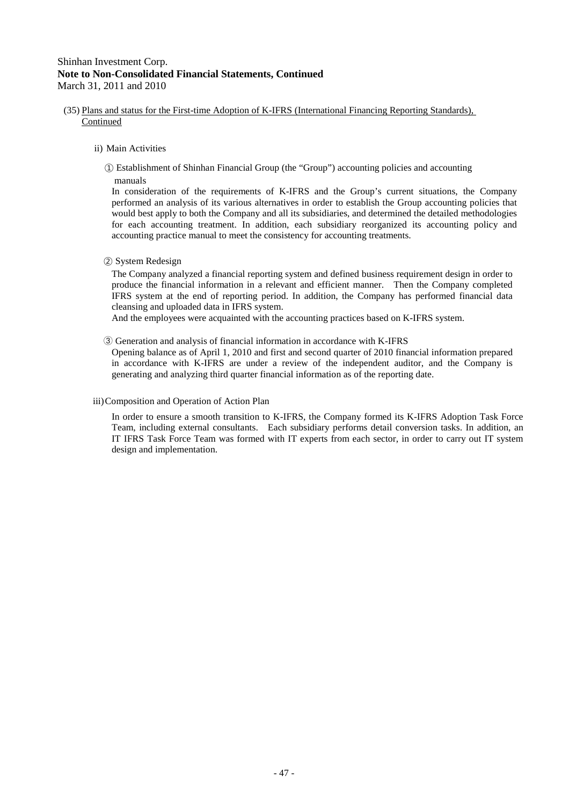- (35) Plans and status for the First-time Adoption of K-IFRS (International Financing Reporting Standards), Continued
	- ii) Main Activities
		- ① Establishment of Shinhan Financial Group (the "Group") accounting policies and accounting manuals

In consideration of the requirements of K-IFRS and the Group's current situations, the Company performed an analysis of its various alternatives in order to establish the Group accounting policies that would best apply to both the Company and all its subsidiaries, and determined the detailed methodologies for each accounting treatment. In addition, each subsidiary reorganized its accounting policy and accounting practice manual to meet the consistency for accounting treatments.

② System Redesign

The Company analyzed a financial reporting system and defined business requirement design in order to produce the financial information in a relevant and efficient manner. Then the Company completed IFRS system at the end of reporting period. In addition, the Company has performed financial data cleansing and uploaded data in IFRS system.

And the employees were acquainted with the accounting practices based on K-IFRS system.

③ Generation and analysis of financial information in accordance with K-IFRS

Opening balance as of April 1, 2010 and first and second quarter of 2010 financial information prepared in accordance with K-IFRS are under a review of the independent auditor, and the Company is generating and analyzing third quarter financial information as of the reporting date.

#### iii)Composition and Operation of Action Plan

In order to ensure a smooth transition to K-IFRS, the Company formed its K-IFRS Adoption Task Force Team, including external consultants. Each subsidiary performs detail conversion tasks. In addition, an IT IFRS Task Force Team was formed with IT experts from each sector, in order to carry out IT system design and implementation.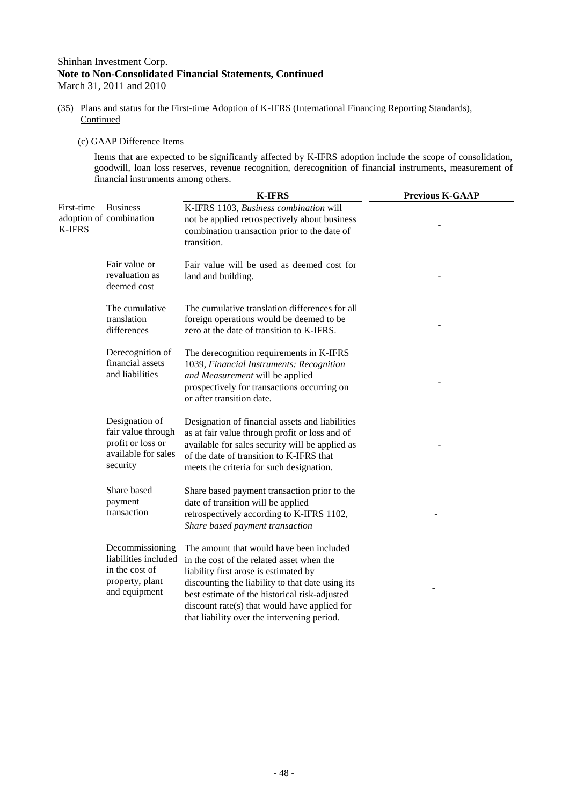(35) Plans and status for the First-time Adoption of K-IFRS (International Financing Reporting Standards), **Continued** 

#### (c) GAAP Difference Items

Items that are expected to be significantly affected by K-IFRS adoption include the scope of consolidation, goodwill, loan loss reserves, revenue recognition, derecognition of financial instruments, measurement of financial instruments among others.

|                             |                                                                                               | <b>K-IFRS</b>                                                                                                                                                                                                                                                                                                                      | <b>Previous K-GAAP</b> |
|-----------------------------|-----------------------------------------------------------------------------------------------|------------------------------------------------------------------------------------------------------------------------------------------------------------------------------------------------------------------------------------------------------------------------------------------------------------------------------------|------------------------|
| First-time<br><b>K-IFRS</b> | <b>Business</b><br>adoption of combination                                                    | K-IFRS 1103, Business combination will<br>not be applied retrospectively about business<br>combination transaction prior to the date of<br>transition.                                                                                                                                                                             |                        |
|                             | Fair value or<br>revaluation as<br>deemed cost                                                | Fair value will be used as deemed cost for<br>land and building.                                                                                                                                                                                                                                                                   |                        |
|                             | The cumulative<br>translation<br>differences                                                  | The cumulative translation differences for all<br>foreign operations would be deemed to be<br>zero at the date of transition to K-IFRS.                                                                                                                                                                                            |                        |
|                             | Derecognition of<br>financial assets<br>and liabilities                                       | The derecognition requirements in K-IFRS<br>1039, Financial Instruments: Recognition<br>and Measurement will be applied<br>prospectively for transactions occurring on<br>or after transition date.                                                                                                                                |                        |
|                             | Designation of<br>fair value through<br>profit or loss or<br>available for sales<br>security  | Designation of financial assets and liabilities<br>as at fair value through profit or loss and of<br>available for sales security will be applied as<br>of the date of transition to K-IFRS that<br>meets the criteria for such designation.                                                                                       |                        |
|                             | Share based<br>payment<br>transaction                                                         | Share based payment transaction prior to the<br>date of transition will be applied<br>retrospectively according to K-IFRS 1102,<br>Share based payment transaction                                                                                                                                                                 |                        |
|                             | Decommissioning<br>liabilities included<br>in the cost of<br>property, plant<br>and equipment | The amount that would have been included<br>in the cost of the related asset when the<br>liability first arose is estimated by<br>discounting the liability to that date using its<br>best estimate of the historical risk-adjusted<br>discount rate(s) that would have applied for<br>that liability over the intervening period. |                        |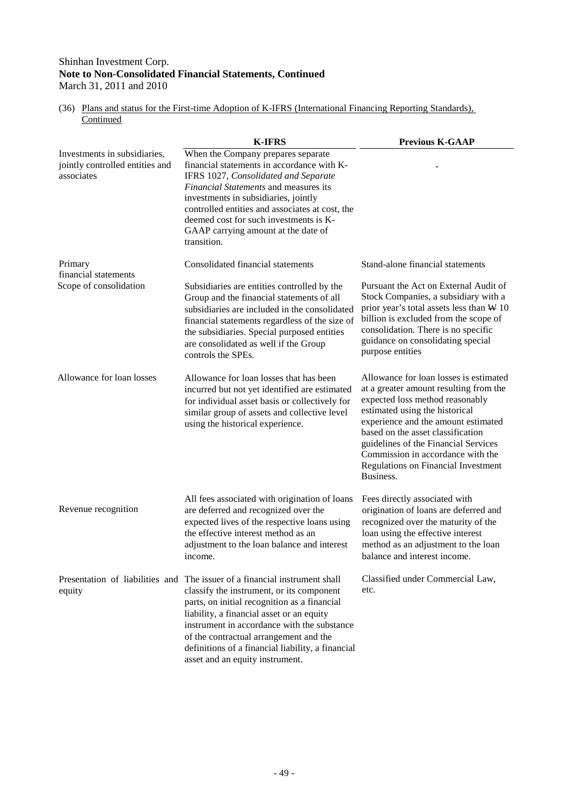## Shinhan Investment Corp. **Note to Non-Consolidated Financial Statements, Continued**

March 31, 2011 and 2010

| (36) Plans and status for the First-time Adoption of K-IFRS (International Financing Reporting Standards), |  |
|------------------------------------------------------------------------------------------------------------|--|
| Continued                                                                                                  |  |

|                                                                               | <b>K-IFRS</b>                                                                                                                                                                                                                                                                                                                                                                                         | <b>Previous K-GAAP</b>                                                                                                                                                                                                                                                                                                                                                    |
|-------------------------------------------------------------------------------|-------------------------------------------------------------------------------------------------------------------------------------------------------------------------------------------------------------------------------------------------------------------------------------------------------------------------------------------------------------------------------------------------------|---------------------------------------------------------------------------------------------------------------------------------------------------------------------------------------------------------------------------------------------------------------------------------------------------------------------------------------------------------------------------|
| Investments in subsidiaries,<br>jointly controlled entities and<br>associates | When the Company prepares separate<br>financial statements in accordance with K-<br>IFRS 1027, Consolidated and Separate<br>Financial Statements and measures its<br>investments in subsidiaries, jointly<br>controlled entities and associates at cost, the<br>deemed cost for such investments is K-<br>GAAP carrying amount at the date of<br>transition.                                          |                                                                                                                                                                                                                                                                                                                                                                           |
| Primary<br>financial statements                                               | Consolidated financial statements                                                                                                                                                                                                                                                                                                                                                                     | Stand-alone financial statements                                                                                                                                                                                                                                                                                                                                          |
| Scope of consolidation                                                        | Subsidiaries are entities controlled by the<br>Group and the financial statements of all<br>subsidiaries are included in the consolidated<br>financial statements regardless of the size of<br>the subsidiaries. Special purposed entities<br>are consolidated as well if the Group<br>controls the SPEs.                                                                                             | Pursuant the Act on External Audit of<br>Stock Companies, a subsidiary with a<br>prior year's total assets less than $W$ 10<br>billion is excluded from the scope of<br>consolidation. There is no specific<br>guidance on consolidating special<br>purpose entities                                                                                                      |
| Allowance for loan losses                                                     | Allowance for loan losses that has been<br>incurred but not yet identified are estimated<br>for individual asset basis or collectively for<br>similar group of assets and collective level<br>using the historical experience.                                                                                                                                                                        | Allowance for loan losses is estimated<br>at a greater amount resulting from the<br>expected loss method reasonably<br>estimated using the historical<br>experience and the amount estimated<br>based on the asset classification<br>guidelines of the Financial Services<br>Commission in accordance with the<br><b>Regulations on Financial Investment</b><br>Business. |
| Revenue recognition                                                           | All fees associated with origination of loans<br>are deferred and recognized over the<br>expected lives of the respective loans using<br>the effective interest method as an<br>adjustment to the loan balance and interest<br>income.                                                                                                                                                                | Fees directly associated with<br>origination of loans are deferred and<br>recognized over the maturity of the<br>loan using the effective interest<br>method as an adjustment to the loan<br>balance and interest income.                                                                                                                                                 |
| equity                                                                        | Presentation of liabilities and The issuer of a financial instrument shall<br>classify the instrument, or its component<br>parts, on initial recognition as a financial<br>liability, a financial asset or an equity<br>instrument in accordance with the substance<br>of the contractual arrangement and the<br>definitions of a financial liability, a financial<br>asset and an equity instrument. | Classified under Commercial Law,<br>etc.                                                                                                                                                                                                                                                                                                                                  |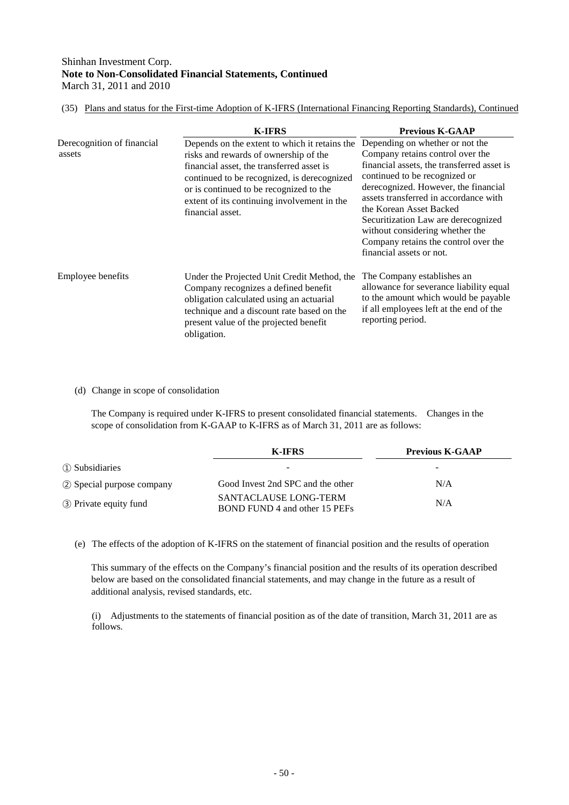(35) Plans and status for the First-time Adoption of K-IFRS (International Financing Reporting Standards), Continued

|                                      | <b>K-IFRS</b>                                                                                                                                                                                                                                                                                    | <b>Previous K-GAAP</b>                                                                                                                                                                                                                                                                                                                                                                                       |
|--------------------------------------|--------------------------------------------------------------------------------------------------------------------------------------------------------------------------------------------------------------------------------------------------------------------------------------------------|--------------------------------------------------------------------------------------------------------------------------------------------------------------------------------------------------------------------------------------------------------------------------------------------------------------------------------------------------------------------------------------------------------------|
| Derecognition of financial<br>assets | Depends on the extent to which it retains the<br>risks and rewards of ownership of the<br>financial asset, the transferred asset is<br>continued to be recognized, is derecognized<br>or is continued to be recognized to the<br>extent of its continuing involvement in the<br>financial asset. | Depending on whether or not the<br>Company retains control over the<br>financial assets, the transferred asset is<br>continued to be recognized or<br>derecognized. However, the financial<br>assets transferred in accordance with<br>the Korean Asset Backed<br>Securitization Law are derecognized<br>without considering whether the<br>Company retains the control over the<br>financial assets or not. |
| Employee benefits                    | Under the Projected Unit Credit Method, the<br>Company recognizes a defined benefit<br>obligation calculated using an actuarial<br>technique and a discount rate based on the<br>present value of the projected benefit<br>obligation.                                                           | The Company establishes an<br>allowance for severance liability equal<br>to the amount which would be payable<br>if all employees left at the end of the<br>reporting period.                                                                                                                                                                                                                                |

(d) Change in scope of consolidation

The Company is required under K-IFRS to present consolidated financial statements. Changes in the scope of consolidation from K-GAAP to K-IFRS as of March 31, 2011 are as follows:

|                             | <b>K-IFRS</b>                                                 | <b>Previous K-GAAP</b> |
|-----------------------------|---------------------------------------------------------------|------------------------|
| 1 Subsidiaries              | $\overline{\phantom{a}}$                                      | -                      |
| (2) Special purpose company | Good Invest 2nd SPC and the other                             | N/A                    |
| 3 Private equity fund       | <b>SANTACLAUSE LONG-TERM</b><br>BOND FUND 4 and other 15 PEFs | N/A                    |

(e) The effects of the adoption of K-IFRS on the statement of financial position and the results of operation

This summary of the effects on the Company's financial position and the results of its operation described below are based on the consolidated financial statements, and may change in the future as a result of additional analysis, revised standards, etc.

(i) Adjustments to the statements of financial position as of the date of transition, March 31, 2011 are as follows.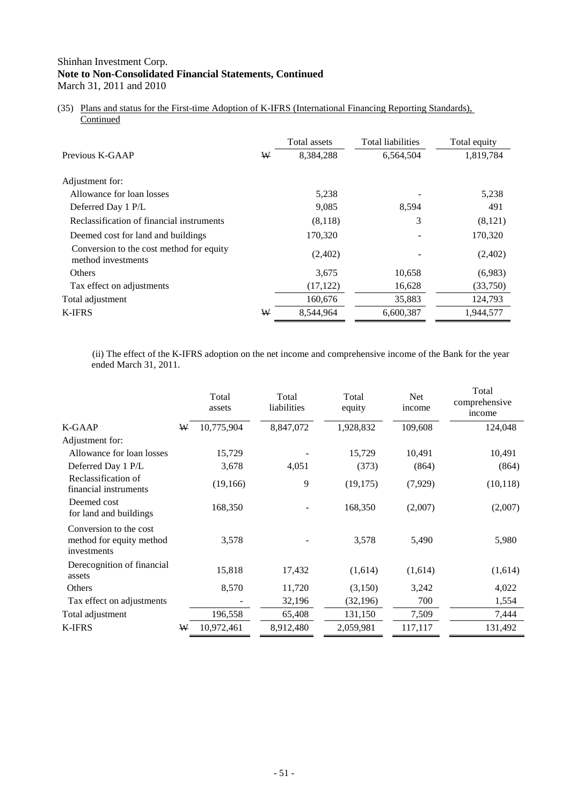(35) Plans and status for the First-time Adoption of K-IFRS (International Financing Reporting Standards), **Continued** 

|                                                                |   | Total assets | <b>Total liabilities</b> | Total equity |
|----------------------------------------------------------------|---|--------------|--------------------------|--------------|
| Previous K-GAAP                                                | W | 8,384,288    | 6,564,504                | 1,819,784    |
| Adjustment for:                                                |   |              |                          |              |
| Allowance for loan losses                                      |   | 5,238        |                          | 5,238        |
| Deferred Day 1 P/L                                             |   | 9,085        | 8,594                    | 491          |
| Reclassification of financial instruments                      |   | (8,118)      | 3                        | (8,121)      |
| Deemed cost for land and buildings                             |   | 170,320      |                          | 170,320      |
| Conversion to the cost method for equity<br>method investments |   | (2,402)      |                          | (2,402)      |
| Others                                                         |   | 3,675        | 10,658                   | (6,983)      |
| Tax effect on adjustments                                      |   | (17, 122)    | 16,628                   | (33,750)     |
| Total adjustment                                               |   | 160,676      | 35,883                   | 124,793      |
| <b>K-IFRS</b>                                                  | W | 8,544,964    | 6,600,387                | 1,944,577    |

(ii) The effect of the K-IFRS adoption on the net income and comprehensive income of the Bank for the year ended March 31, 2011.

|                                                                   |   | Total<br>assets | Total<br>liabilities | Total<br>equity | Net<br>income | Total<br>comprehensive<br>income |
|-------------------------------------------------------------------|---|-----------------|----------------------|-----------------|---------------|----------------------------------|
| <b>K-GAAP</b>                                                     | ₩ | 10,775,904      | 8,847,072            | 1,928,832       | 109,608       | 124,048                          |
| Adjustment for:                                                   |   |                 |                      |                 |               |                                  |
| Allowance for loan losses                                         |   | 15,729          |                      | 15,729          | 10,491        | 10,491                           |
| Deferred Day 1 P/L                                                |   | 3,678           | 4,051                | (373)           | (864)         | (864)                            |
| Reclassification of<br>financial instruments                      |   | (19, 166)       | 9                    | (19, 175)       | (7,929)       | (10, 118)                        |
| Deemed cost<br>for land and buildings                             |   | 168,350         |                      | 168,350         | (2,007)       | (2,007)                          |
| Conversion to the cost<br>method for equity method<br>investments |   | 3,578           |                      | 3,578           | 5,490         | 5,980                            |
| Derecognition of financial<br>assets                              |   | 15,818          | 17,432               | (1,614)         | (1,614)       | (1,614)                          |
| Others                                                            |   | 8,570           | 11,720               | (3,150)         | 3,242         | 4,022                            |
| Tax effect on adjustments                                         |   |                 | 32,196               | (32, 196)       | 700           | 1,554                            |
| Total adjustment                                                  |   | 196,558         | 65,408               | 131,150         | 7,509         | 7,444                            |
| <b>K-IFRS</b>                                                     | ₩ | 10,972,461      | 8,912,480            | 2,059,981       | 117,117       | 131,492                          |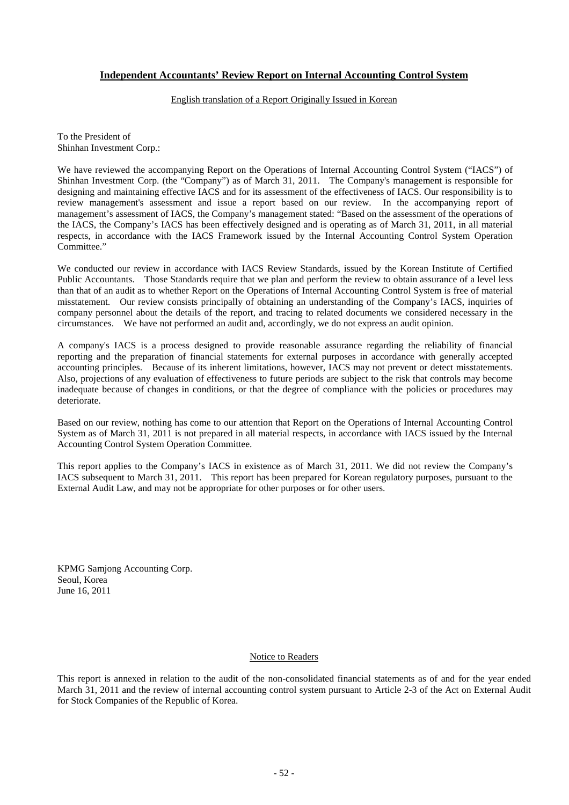## **Independent Accountants' Review Report on Internal Accounting Control System**

#### English translation of a Report Originally Issued in Korean

To the President of Shinhan Investment Corp.:

We have reviewed the accompanying Report on the Operations of Internal Accounting Control System ("IACS") of Shinhan Investment Corp. (the "Company") as of March 31, 2011. The Company's management is responsible for designing and maintaining effective IACS and for its assessment of the effectiveness of IACS. Our responsibility is to review management's assessment and issue a report based on our review. In the accompanying report of management's assessment of IACS, the Company's management stated: "Based on the assessment of the operations of the IACS, the Company's IACS has been effectively designed and is operating as of March 31, 2011, in all material respects, in accordance with the IACS Framework issued by the Internal Accounting Control System Operation Committee."

We conducted our review in accordance with IACS Review Standards, issued by the Korean Institute of Certified Public Accountants. Those Standards require that we plan and perform the review to obtain assurance of a level less than that of an audit as to whether Report on the Operations of Internal Accounting Control System is free of material misstatement. Our review consists principally of obtaining an understanding of the Company's IACS, inquiries of company personnel about the details of the report, and tracing to related documents we considered necessary in the circumstances. We have not performed an audit and, accordingly, we do not express an audit opinion.

A company's IACS is a process designed to provide reasonable assurance regarding the reliability of financial reporting and the preparation of financial statements for external purposes in accordance with generally accepted accounting principles. Because of its inherent limitations, however, IACS may not prevent or detect misstatements. Also, projections of any evaluation of effectiveness to future periods are subject to the risk that controls may become inadequate because of changes in conditions, or that the degree of compliance with the policies or procedures may deteriorate.

Based on our review, nothing has come to our attention that Report on the Operations of Internal Accounting Control System as of March 31, 2011 is not prepared in all material respects, in accordance with IACS issued by the Internal Accounting Control System Operation Committee.

This report applies to the Company's IACS in existence as of March 31, 2011. We did not review the Company's IACS subsequent to March 31, 2011. This report has been prepared for Korean regulatory purposes, pursuant to the External Audit Law, and may not be appropriate for other purposes or for other users.

KPMG Samjong Accounting Corp. Seoul, Korea June 16, 2011

#### Notice to Readers

This report is annexed in relation to the audit of the non-consolidated financial statements as of and for the year ended March 31, 2011 and the review of internal accounting control system pursuant to Article 2-3 of the Act on External Audit for Stock Companies of the Republic of Korea.